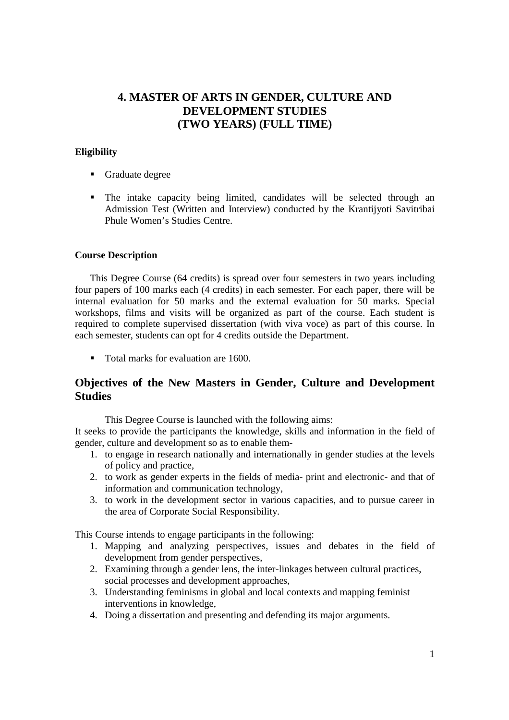# **4. MASTER OF ARTS IN GENDER, CULTURE AND DEVELOPMENT STUDIES (TWO YEARS) (FULL TIME)**

# **Eligibility**

- Graduate degree
- The intake capacity being limited, candidates will be selected through an Admission Test (Written and Interview) conducted by the Krantijyoti Savitribai Phule Women's Studies Centre.

## **Course Description**

This Degree Course (64 credits) is spread over four semesters in two years including four papers of 100 marks each (4 credits) in each semester. For each paper, there will be internal evaluation for 50 marks and the external evaluation for 50 marks. Special workshops, films and visits will be organized as part of the course. Each student is required to complete supervised dissertation (with viva voce) as part of this course. In each semester, students can opt for 4 credits outside the Department.

■ Total marks for evaluation are 1600.

# **Objectives of the New Masters in Gender, Culture and Development Studies**

This Degree Course is launched with the following aims:

It seeks to provide the participants the knowledge, skills and information in the field of gender, culture and development so as to enable them-

- 1. to engage in research nationally and internationally in gender studies at the levels of policy and practice,
- 2. to work as gender experts in the fields of media- print and electronic- and that of information and communication technology,
- 3. to work in the development sector in various capacities, and to pursue career in the area of Corporate Social Responsibility.

This Course intends to engage participants in the following:

- 1. Mapping and analyzing perspectives, issues and debates in the field of development from gender perspectives,
- 2. Examining through a gender lens, the inter-linkages between cultural practices, social processes and development approaches,
- 3. Understanding feminisms in global and local contexts and mapping feminist interventions in knowledge,
- 4. Doing a dissertation and presenting and defending its major arguments.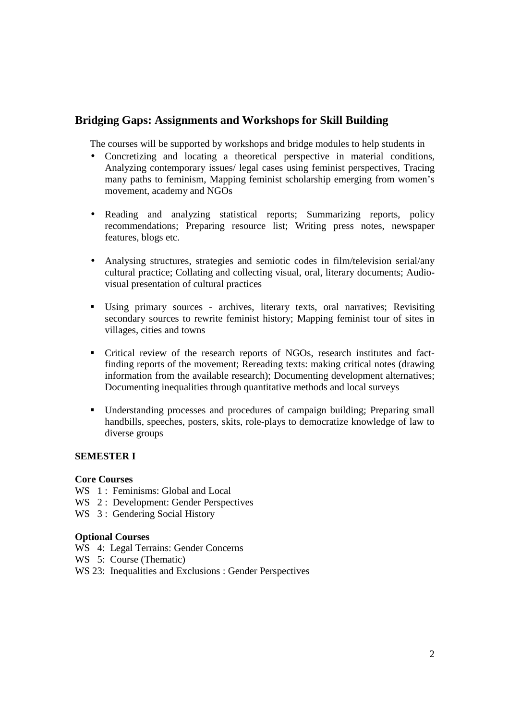# **Bridging Gaps: Assignments and Workshops for Skill Building**

The courses will be supported by workshops and bridge modules to help students in

- Concretizing and locating a theoretical perspective in material conditions, Analyzing contemporary issues/ legal cases using feminist perspectives, Tracing many paths to feminism, Mapping feminist scholarship emerging from women's movement, academy and NGOs
- Reading and analyzing statistical reports; Summarizing reports, policy recommendations; Preparing resource list; Writing press notes, newspaper features, blogs etc.
- Analysing structures, strategies and semiotic codes in film/television serial/any cultural practice; Collating and collecting visual, oral, literary documents; Audiovisual presentation of cultural practices
- Using primary sources archives, literary texts, oral narratives; Revisiting secondary sources to rewrite feminist history; Mapping feminist tour of sites in villages, cities and towns
- Critical review of the research reports of NGOs, research institutes and factfinding reports of the movement; Rereading texts: making critical notes (drawing information from the available research); Documenting development alternatives; Documenting inequalities through quantitative methods and local surveys
- Understanding processes and procedures of campaign building; Preparing small handbills, speeches, posters, skits, role-plays to democratize knowledge of law to diverse groups

# **SEMESTER I**

#### **Core Courses**

- WS 1: Feminisms: Global and Local
- WS 2: Development: Gender Perspectives
- WS 3: Gendering Social History

#### **Optional Courses**

- WS 4: Legal Terrains: Gender Concerns
- WS 5: Course (Thematic)
- WS 23: Inequalities and Exclusions : Gender Perspectives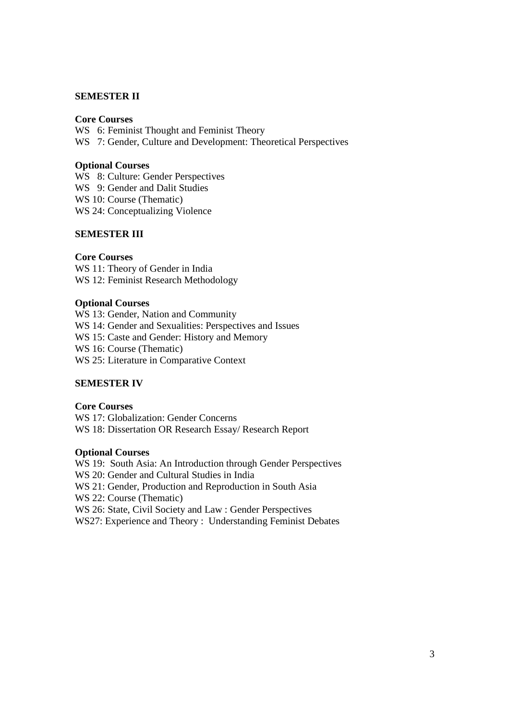#### **SEMESTER II**

## **Core Courses**

WS 6: Feminist Thought and Feminist Theory WS 7: Gender, Culture and Development: Theoretical Perspectives

#### **Optional Courses**

WS 8: Culture: Gender Perspectives WS 9: Gender and Dalit Studies WS 10: Course (Thematic) WS 24: Conceptualizing Violence

## **SEMESTER III**

#### **Core Courses**

WS 11: Theory of Gender in India WS 12: Feminist Research Methodology

#### **Optional Courses**

WS 13: Gender, Nation and Community WS 14: Gender and Sexualities: Perspectives and Issues WS 15: Caste and Gender: History and Memory WS 16: Course (Thematic) WS 25: Literature in Comparative Context

# **SEMESTER IV**

# **Core Courses**

WS 17: Globalization: Gender Concerns WS 18: Dissertation OR Research Essay/ Research Report

#### **Optional Courses**

WS 19: South Asia: An Introduction through Gender Perspectives WS 20: Gender and Cultural Studies in India WS 21: Gender, Production and Reproduction in South Asia WS 22: Course (Thematic) WS 26: State, Civil Society and Law : Gender Perspectives WS27: Experience and Theory : Understanding Feminist Debates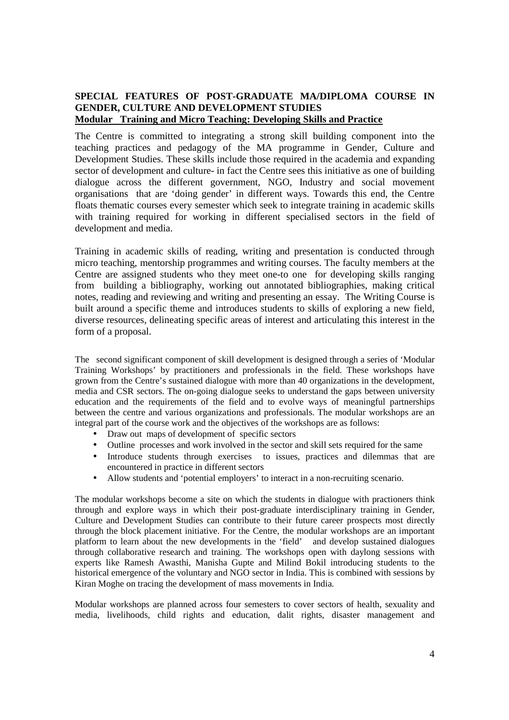# **SPECIAL FEATURES OF POST-GRADUATE MA/DIPLOMA COURSE IN GENDER, CULTURE AND DEVELOPMENT STUDIES Modular Training and Micro Teaching: Developing Skills and Practice**

The Centre is committed to integrating a strong skill building component into the teaching practices and pedagogy of the MA programme in Gender, Culture and Development Studies. These skills include those required in the academia and expanding sector of development and culture- in fact the Centre sees this initiative as one of building dialogue across the different government, NGO, Industry and social movement organisations that are 'doing gender' in different ways. Towards this end, the Centre floats thematic courses every semester which seek to integrate training in academic skills with training required for working in different specialised sectors in the field of development and media.

Training in academic skills of reading, writing and presentation is conducted through micro teaching, mentorship programmes and writing courses. The faculty members at the Centre are assigned students who they meet one-to one for developing skills ranging from building a bibliography, working out annotated bibliographies, making critical notes, reading and reviewing and writing and presenting an essay. The Writing Course is built around a specific theme and introduces students to skills of exploring a new field, diverse resources, delineating specific areas of interest and articulating this interest in the form of a proposal.

The second significant component of skill development is designed through a series of 'Modular Training Workshops' by practitioners and professionals in the field. These workshops have grown from the Centre's sustained dialogue with more than 40 organizations in the development, media and CSR sectors. The on-going dialogue seeks to understand the gaps between university education and the requirements of the field and to evolve ways of meaningful partnerships between the centre and various organizations and professionals. The modular workshops are an integral part of the course work and the objectives of the workshops are as follows:

- Draw out maps of development of specific sectors
- Outline processes and work involved in the sector and skill sets required for the same
- Introduce students through exercises to issues, practices and dilemmas that are encountered in practice in different sectors
- Allow students and 'potential employers' to interact in a non-recruiting scenario.

The modular workshops become a site on which the students in dialogue with practioners think through and explore ways in which their post-graduate interdisciplinary training in Gender, Culture and Development Studies can contribute to their future career prospects most directly through the block placement initiative. For the Centre, the modular workshops are an important platform to learn about the new developments in the 'field' and develop sustained dialogues through collaborative research and training. The workshops open with daylong sessions with experts like Ramesh Awasthi, Manisha Gupte and Milind Bokil introducing students to the historical emergence of the voluntary and NGO sector in India. This is combined with sessions by Kiran Moghe on tracing the development of mass movements in India.

Modular workshops are planned across four semesters to cover sectors of health, sexuality and media, livelihoods, child rights and education, dalit rights, disaster management and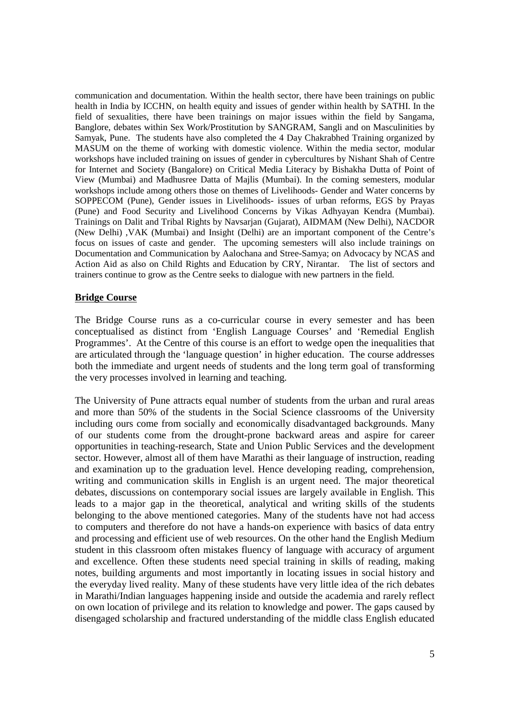communication and documentation. Within the health sector, there have been trainings on public health in India by ICCHN, on health equity and issues of gender within health by SATHI. In the field of sexualities, there have been trainings on major issues within the field by Sangama, Banglore, debates within Sex Work/Prostitution by SANGRAM, Sangli and on Masculinities by Samyak, Pune. The students have also completed the 4 Day Chakrabhed Training organized by MASUM on the theme of working with domestic violence. Within the media sector, modular workshops have included training on issues of gender in cybercultures by Nishant Shah of Centre for Internet and Society (Bangalore) on Critical Media Literacy by Bishakha Dutta of Point of View (Mumbai) and Madhusree Datta of Majlis (Mumbai). In the coming semesters, modular workshops include among others those on themes of Livelihoods- Gender and Water concerns by SOPPECOM (Pune), Gender issues in Livelihoods- issues of urban reforms, EGS by Prayas (Pune) and Food Security and Livelihood Concerns by Vikas Adhyayan Kendra (Mumbai). Trainings on Dalit and Tribal Rights by Navsarjan (Gujarat), AIDMAM (New Delhi), NACDOR (New Delhi) ,VAK (Mumbai) and Insight (Delhi) are an important component of the Centre's focus on issues of caste and gender. The upcoming semesters will also include trainings on Documentation and Communication by Aalochana and Stree-Samya; on Advocacy by NCAS and Action Aid as also on Child Rights and Education by CRY, Nirantar. The list of sectors and trainers continue to grow as the Centre seeks to dialogue with new partners in the field.

## **Bridge Course**

The Bridge Course runs as a co-curricular course in every semester and has been conceptualised as distinct from 'English Language Courses' and 'Remedial English Programmes'. At the Centre of this course is an effort to wedge open the inequalities that are articulated through the 'language question' in higher education. The course addresses both the immediate and urgent needs of students and the long term goal of transforming the very processes involved in learning and teaching.

The University of Pune attracts equal number of students from the urban and rural areas and more than 50% of the students in the Social Science classrooms of the University including ours come from socially and economically disadvantaged backgrounds. Many of our students come from the drought-prone backward areas and aspire for career opportunities in teaching-research, State and Union Public Services and the development sector. However, almost all of them have Marathi as their language of instruction, reading and examination up to the graduation level. Hence developing reading, comprehension, writing and communication skills in English is an urgent need. The major theoretical debates, discussions on contemporary social issues are largely available in English. This leads to a major gap in the theoretical, analytical and writing skills of the students belonging to the above mentioned categories. Many of the students have not had access to computers and therefore do not have a hands-on experience with basics of data entry and processing and efficient use of web resources. On the other hand the English Medium student in this classroom often mistakes fluency of language with accuracy of argument and excellence. Often these students need special training in skills of reading, making notes, building arguments and most importantly in locating issues in social history and the everyday lived reality. Many of these students have very little idea of the rich debates in Marathi/Indian languages happening inside and outside the academia and rarely reflect on own location of privilege and its relation to knowledge and power. The gaps caused by disengaged scholarship and fractured understanding of the middle class English educated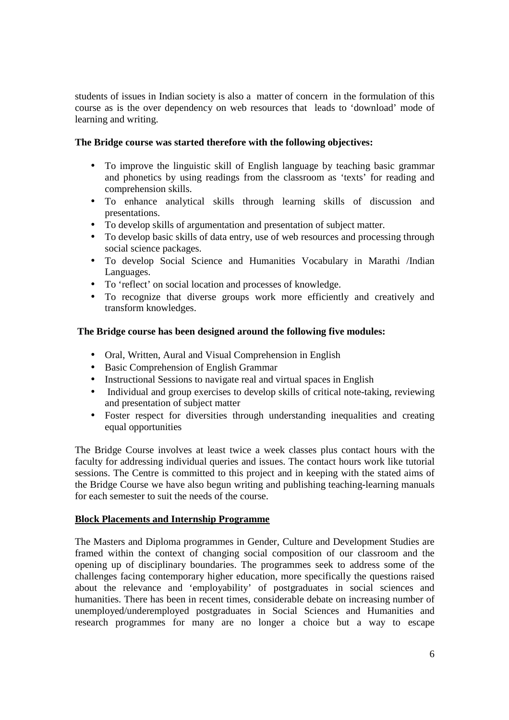students of issues in Indian society is also a matter of concern in the formulation of this course as is the over dependency on web resources that leads to 'download' mode of learning and writing.

# **The Bridge course was started therefore with the following objectives:**

- To improve the linguistic skill of English language by teaching basic grammar and phonetics by using readings from the classroom as 'texts' for reading and comprehension skills.
- To enhance analytical skills through learning skills of discussion and presentations.
- To develop skills of argumentation and presentation of subject matter.
- To develop basic skills of data entry, use of web resources and processing through social science packages.
- To develop Social Science and Humanities Vocabulary in Marathi /Indian Languages.
- To 'reflect' on social location and processes of knowledge.
- To recognize that diverse groups work more efficiently and creatively and transform knowledges.

# **The Bridge course has been designed around the following five modules:**

- Oral, Written, Aural and Visual Comprehension in English
- Basic Comprehension of English Grammar
- Instructional Sessions to navigate real and virtual spaces in English
- Individual and group exercises to develop skills of critical note-taking, reviewing and presentation of subject matter
- Foster respect for diversities through understanding inequalities and creating equal opportunities

The Bridge Course involves at least twice a week classes plus contact hours with the faculty for addressing individual queries and issues. The contact hours work like tutorial sessions. The Centre is committed to this project and in keeping with the stated aims of the Bridge Course we have also begun writing and publishing teaching-learning manuals for each semester to suit the needs of the course.

# **Block Placements and Internship Programme**

The Masters and Diploma programmes in Gender, Culture and Development Studies are framed within the context of changing social composition of our classroom and the opening up of disciplinary boundaries. The programmes seek to address some of the challenges facing contemporary higher education, more specifically the questions raised about the relevance and 'employability' of postgraduates in social sciences and humanities. There has been in recent times, considerable debate on increasing number of unemployed/underemployed postgraduates in Social Sciences and Humanities and research programmes for many are no longer a choice but a way to escape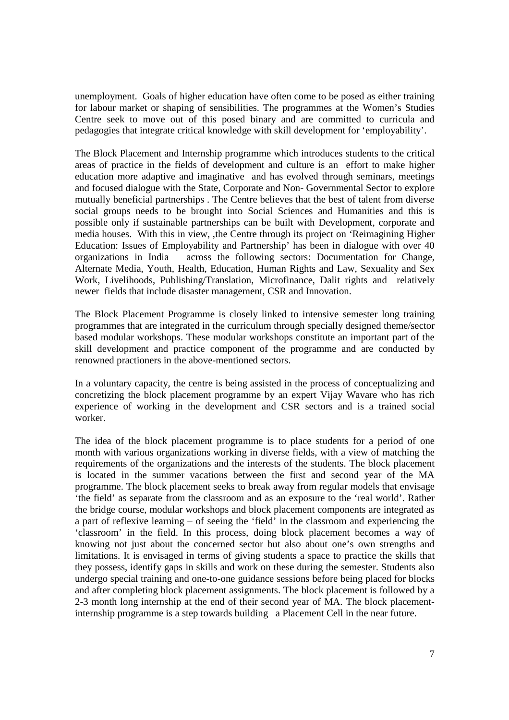unemployment. Goals of higher education have often come to be posed as either training for labour market or shaping of sensibilities. The programmes at the Women's Studies Centre seek to move out of this posed binary and are committed to curricula and pedagogies that integrate critical knowledge with skill development for 'employability'.

The Block Placement and Internship programme which introduces students to the critical areas of practice in the fields of development and culture is an effort to make higher education more adaptive and imaginative and has evolved through seminars, meetings and focused dialogue with the State, Corporate and Non- Governmental Sector to explore mutually beneficial partnerships . The Centre believes that the best of talent from diverse social groups needs to be brought into Social Sciences and Humanities and this is possible only if sustainable partnerships can be built with Development, corporate and media houses. With this in view, ,the Centre through its project on 'Reimagining Higher Education: Issues of Employability and Partnership' has been in dialogue with over 40 organizations in India across the following sectors: Documentation for Change, Alternate Media, Youth, Health, Education, Human Rights and Law, Sexuality and Sex Work, Livelihoods, Publishing/Translation, Microfinance, Dalit rights and relatively newer fields that include disaster management, CSR and Innovation.

The Block Placement Programme is closely linked to intensive semester long training programmes that are integrated in the curriculum through specially designed theme/sector based modular workshops. These modular workshops constitute an important part of the skill development and practice component of the programme and are conducted by renowned practioners in the above-mentioned sectors.

In a voluntary capacity, the centre is being assisted in the process of conceptualizing and concretizing the block placement programme by an expert Vijay Wavare who has rich experience of working in the development and CSR sectors and is a trained social worker.

The idea of the block placement programme is to place students for a period of one month with various organizations working in diverse fields, with a view of matching the requirements of the organizations and the interests of the students. The block placement is located in the summer vacations between the first and second year of the MA programme. The block placement seeks to break away from regular models that envisage 'the field' as separate from the classroom and as an exposure to the 'real world'. Rather the bridge course, modular workshops and block placement components are integrated as a part of reflexive learning – of seeing the 'field' in the classroom and experiencing the 'classroom' in the field. In this process, doing block placement becomes a way of knowing not just about the concerned sector but also about one's own strengths and limitations. It is envisaged in terms of giving students a space to practice the skills that they possess, identify gaps in skills and work on these during the semester. Students also undergo special training and one-to-one guidance sessions before being placed for blocks and after completing block placement assignments. The block placement is followed by a 2-3 month long internship at the end of their second year of MA. The block placementinternship programme is a step towards building a Placement Cell in the near future.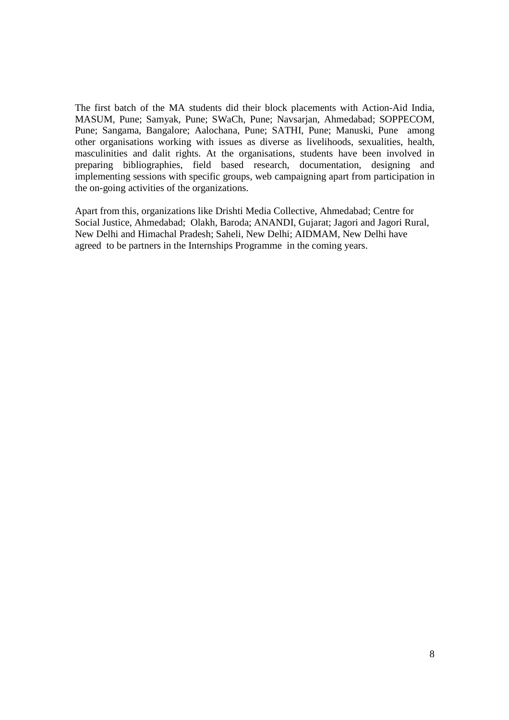The first batch of the MA students did their block placements with Action-Aid India, MASUM, Pune; Samyak, Pune; SWaCh, Pune; Navsarjan, Ahmedabad; SOPPECOM, Pune; Sangama, Bangalore; Aalochana, Pune; SATHI, Pune; Manuski, Pune among other organisations working with issues as diverse as livelihoods, sexualities, health, masculinities and dalit rights. At the organisations, students have been involved in preparing bibliographies, field based research, documentation, designing and implementing sessions with specific groups, web campaigning apart from participation in the on-going activities of the organizations.

Apart from this, organizations like Drishti Media Collective, Ahmedabad; Centre for Social Justice, Ahmedabad; Olakh, Baroda; ANANDI, Gujarat; Jagori and Jagori Rural, New Delhi and Himachal Pradesh; Saheli, New Delhi; AIDMAM, New Delhi have agreed to be partners in the Internships Programme in the coming years.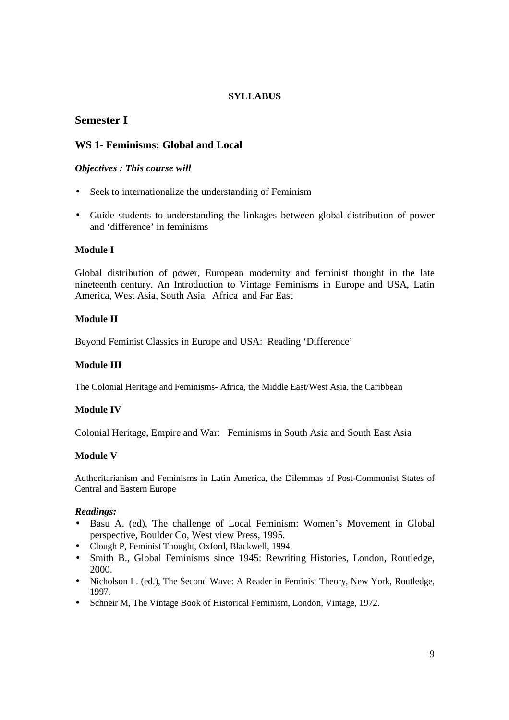# **SYLLABUS**

# **Semester I**

# **WS 1- Feminisms: Global and Local**

# *Objectives : This course will*

- Seek to internationalize the understanding of Feminism
- Guide students to understanding the linkages between global distribution of power and 'difference' in feminisms

# **Module I**

Global distribution of power, European modernity and feminist thought in the late nineteenth century. An Introduction to Vintage Feminisms in Europe and USA, Latin America, West Asia, South Asia, Africa and Far East

# **Module II**

Beyond Feminist Classics in Europe and USA: Reading 'Difference'

# **Module III**

The Colonial Heritage and Feminisms- Africa, the Middle East/West Asia, the Caribbean

# **Module IV**

Colonial Heritage, Empire and War: Feminisms in South Asia and South East Asia

# **Module V**

Authoritarianism and Feminisms in Latin America, the Dilemmas of Post-Communist States of Central and Eastern Europe

- Basu A. (ed), The challenge of Local Feminism: Women's Movement in Global perspective, Boulder Co, West view Press, 1995.
- Clough P, Feminist Thought, Oxford, Blackwell, 1994.
- Smith B., Global Feminisms since 1945: Rewriting Histories, London, Routledge, 2000.
- Nicholson L. (ed.), The Second Wave: A Reader in Feminist Theory, New York, Routledge, 1997.
- Schneir M, The Vintage Book of Historical Feminism, London, Vintage, 1972.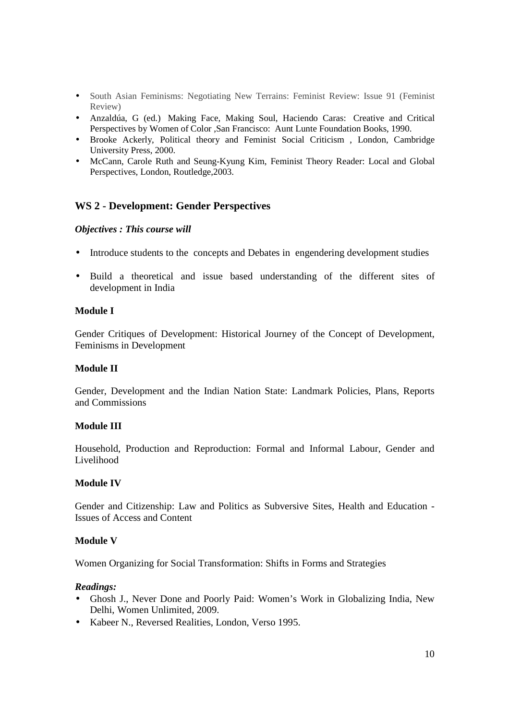- South Asian Feminisms: Negotiating New Terrains: Feminist Review: Issue 91 (Feminist Review)
- Anzaldúa, G (ed.) Making Face, Making Soul, Haciendo Caras: Creative and Critical Perspectives by Women of Color ,San Francisco: Aunt Lunte Foundation Books, 1990.
- Brooke Ackerly, Political theory and Feminist Social Criticism , London, Cambridge University Press, 2000.
- McCann, Carole Ruth and Seung-Kyung Kim, Feminist Theory Reader: Local and Global Perspectives, London, Routledge,2003.

# **WS 2 - Development: Gender Perspectives**

## *Objectives : This course will*

- Introduce students to the concepts and Debates in engendering development studies
- Build a theoretical and issue based understanding of the different sites of development in India

## **Module I**

Gender Critiques of Development: Historical Journey of the Concept of Development, Feminisms in Development

# **Module II**

Gender, Development and the Indian Nation State: Landmark Policies, Plans, Reports and Commissions

# **Module III**

Household, Production and Reproduction: Formal and Informal Labour, Gender and Livelihood

# **Module IV**

Gender and Citizenship: Law and Politics as Subversive Sites, Health and Education - Issues of Access and Content

# **Module V**

Women Organizing for Social Transformation: Shifts in Forms and Strategies

- Ghosh J., Never Done and Poorly Paid: Women's Work in Globalizing India, New Delhi, Women Unlimited, 2009.
- Kabeer N., Reversed Realities, London, Verso 1995.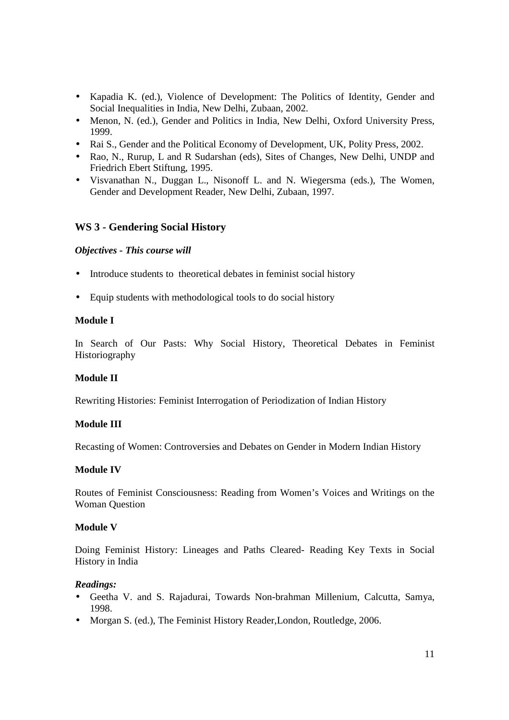- Kapadia K. (ed.), Violence of Development: The Politics of Identity, Gender and Social Inequalities in India, New Delhi, Zubaan, 2002.
- Menon, N. (ed.), Gender and Politics in India, New Delhi, Oxford University Press, 1999.
- Rai S., Gender and the Political Economy of Development, UK, Polity Press, 2002.
- Rao, N., Rurup, L and R Sudarshan (eds), Sites of Changes, New Delhi, UNDP and Friedrich Ebert Stiftung, 1995.
- Visvanathan N., Duggan L., Nisonoff L. and N. Wiegersma (eds.), The Women, Gender and Development Reader, New Delhi, Zubaan, 1997.

# **WS 3 - Gendering Social History**

## *Objectives - This course will*

- Introduce students to theoretical debates in feminist social history
- Equip students with methodological tools to do social history

## **Module I**

In Search of Our Pasts: Why Social History, Theoretical Debates in Feminist Historiography

#### **Module II**

Rewriting Histories: Feminist Interrogation of Periodization of Indian History

#### **Module III**

Recasting of Women: Controversies and Debates on Gender in Modern Indian History

#### **Module IV**

Routes of Feminist Consciousness: Reading from Women's Voices and Writings on the Woman Question

#### **Module V**

Doing Feminist History: Lineages and Paths Cleared- Reading Key Texts in Social History in India

- Geetha V. and S. Rajadurai, Towards Non-brahman Millenium, Calcutta, Samya, 1998.
- Morgan S. (ed.), The Feminist History Reader, London, Routledge, 2006.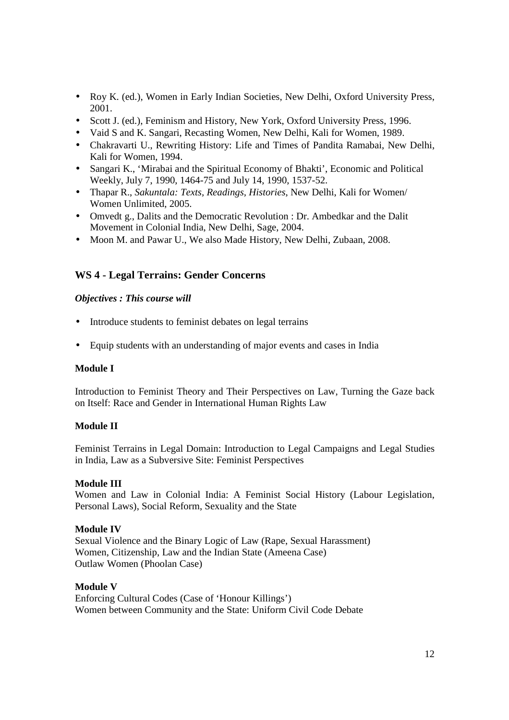- Roy K. (ed.), Women in Early Indian Societies, New Delhi, Oxford University Press, 2001.
- Scott J. (ed.), Feminism and History, New York, Oxford University Press, 1996.
- Vaid S and K. Sangari, Recasting Women, New Delhi, Kali for Women, 1989.
- Chakravarti U., Rewriting History: Life and Times of Pandita Ramabai, New Delhi, Kali for Women, 1994.
- Sangari K., 'Mirabai and the Spiritual Economy of Bhakti', Economic and Political Weekly, July 7, 1990, 1464-75 and July 14, 1990, 1537-52.
- Thapar R., *Sakuntala: Texts, Readings, Histories*, New Delhi, Kali for Women/ Women Unlimited, 2005.
- Omvedt g., Dalits and the Democratic Revolution : Dr. Ambedkar and the Dalit Movement in Colonial India, New Delhi, Sage, 2004.
- Moon M. and Pawar U., We also Made History, New Delhi, Zubaan, 2008.

# **WS 4 - Legal Terrains: Gender Concerns**

#### *Objectives : This course will*

- Introduce students to feminist debates on legal terrains
- Equip students with an understanding of major events and cases in India

#### **Module I**

Introduction to Feminist Theory and Their Perspectives on Law, Turning the Gaze back on Itself: Race and Gender in International Human Rights Law

### **Module II**

Feminist Terrains in Legal Domain: Introduction to Legal Campaigns and Legal Studies in India, Law as a Subversive Site: Feminist Perspectives

#### **Module III**

Women and Law in Colonial India: A Feminist Social History (Labour Legislation, Personal Laws), Social Reform, Sexuality and the State

## **Module IV**

Sexual Violence and the Binary Logic of Law (Rape, Sexual Harassment) Women, Citizenship, Law and the Indian State (Ameena Case) Outlaw Women (Phoolan Case)

## **Module V**

Enforcing Cultural Codes (Case of 'Honour Killings') Women between Community and the State: Uniform Civil Code Debate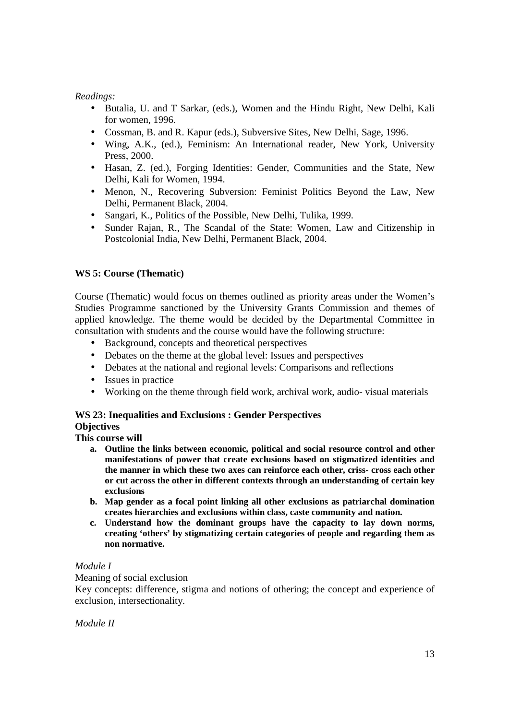# *Readings:*

- Butalia, U. and T Sarkar, (eds.), Women and the Hindu Right, New Delhi, Kali for women, 1996.
- Cossman, B. and R. Kapur (eds.), Subversive Sites, New Delhi, Sage, 1996.
- Wing, A.K., (ed.), Feminism: An International reader, New York, University Press, 2000.
- Hasan, Z. (ed.), Forging Identities: Gender, Communities and the State, New Delhi, Kali for Women, 1994.
- Menon, N., Recovering Subversion: Feminist Politics Beyond the Law, New Delhi, Permanent Black, 2004.
- Sangari, K., Politics of the Possible, New Delhi, Tulika, 1999.
- Sunder Rajan, R., The Scandal of the State: Women, Law and Citizenship in Postcolonial India, New Delhi, Permanent Black, 2004.

# **WS 5: Course (Thematic)**

Course (Thematic) would focus on themes outlined as priority areas under the Women's Studies Programme sanctioned by the University Grants Commission and themes of applied knowledge. The theme would be decided by the Departmental Committee in consultation with students and the course would have the following structure:

- Background, concepts and theoretical perspectives
- Debates on the theme at the global level: Issues and perspectives
- Debates at the national and regional levels: Comparisons and reflections
- Issues in practice
- Working on the theme through field work, archival work, audio- visual materials

# **WS 23: Inequalities and Exclusions : Gender Perspectives**

**Objectives This course will** 

- **a. Outline the links between economic, political and social resource control and other** 
	- **manifestations of power that create exclusions based on stigmatized identities and the manner in which these two axes can reinforce each other, criss- cross each other or cut across the other in different contexts through an understanding of certain key exclusions**
	- **b. Map gender as a focal point linking all other exclusions as patriarchal domination creates hierarchies and exclusions within class, caste community and nation.**
	- **c. Understand how the dominant groups have the capacity to lay down norms, creating 'others' by stigmatizing certain categories of people and regarding them as non normative.**

# *Module I*

Meaning of social exclusion

Key concepts: difference, stigma and notions of othering; the concept and experience of exclusion, intersectionality.

*Module II*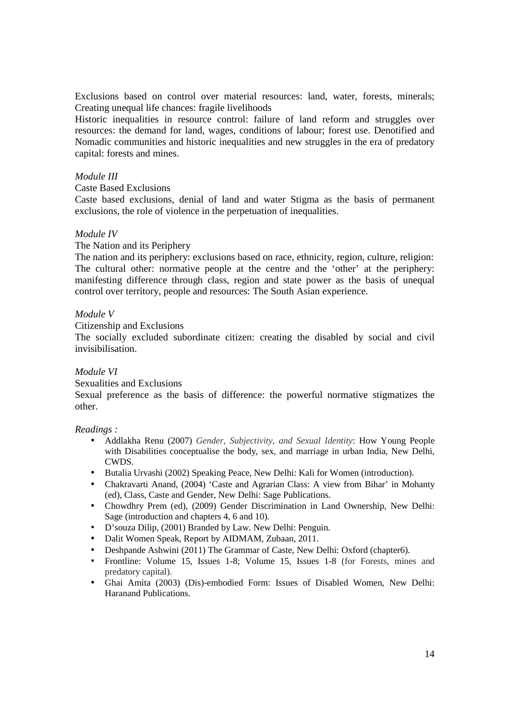Exclusions based on control over material resources: land, water, forests, minerals; Creating unequal life chances: fragile livelihoods

Historic inequalities in resource control: failure of land reform and struggles over resources: the demand for land, wages, conditions of labour; forest use. Denotified and Nomadic communities and historic inequalities and new struggles in the era of predatory capital: forests and mines.

#### *Module III*

Caste Based Exclusions

Caste based exclusions, denial of land and water Stigma as the basis of permanent exclusions, the role of violence in the perpetuation of inequalities.

## *Module IV*

The Nation and its Periphery

The nation and its periphery: exclusions based on race, ethnicity, region, culture, religion: The cultural other: normative people at the centre and the 'other' at the periphery: manifesting difference through class, region and state power as the basis of unequal control over territory, people and resources: The South Asian experience.

## *Module V*

Citizenship and Exclusions

The socially excluded subordinate citizen: creating the disabled by social and civil invisibilisation.

# *Module VI*

Sexualities and Exclusions

Sexual preference as the basis of difference: the powerful normative stigmatizes the other.

- Addlakha Renu (2007) *Gender, Subjectivity, and Sexual Identity*: How Young People with Disabilities conceptualise the body, sex, and marriage in urban India, New Delhi, CWDS.
- Butalia Urvashi (2002) Speaking Peace, New Delhi: Kali for Women (introduction).
- Chakravarti Anand, (2004) 'Caste and Agrarian Class: A view from Bihar' in Mohanty (ed), Class, Caste and Gender, New Delhi: Sage Publications.
- Chowdhry Prem (ed), (2009) Gender Discrimination in Land Ownership, New Delhi: Sage (introduction and chapters 4, 6 and 10).
- D'souza Dilip, (2001) Branded by Law. New Delhi: Penguin.
- Dalit Women Speak, Report by AIDMAM, Zubaan, 2011.
- Deshpande Ashwini (2011) The Grammar of Caste, New Delhi: Oxford (chapter6).
- Frontline: Volume 15, Issues 1-8; Volume 15, Issues 1-8 (for Forests, mines and predatory capital).
- Ghai Amita (2003) (Dis)-embodied Form: Issues of Disabled Women, New Delhi: Haranand Publications.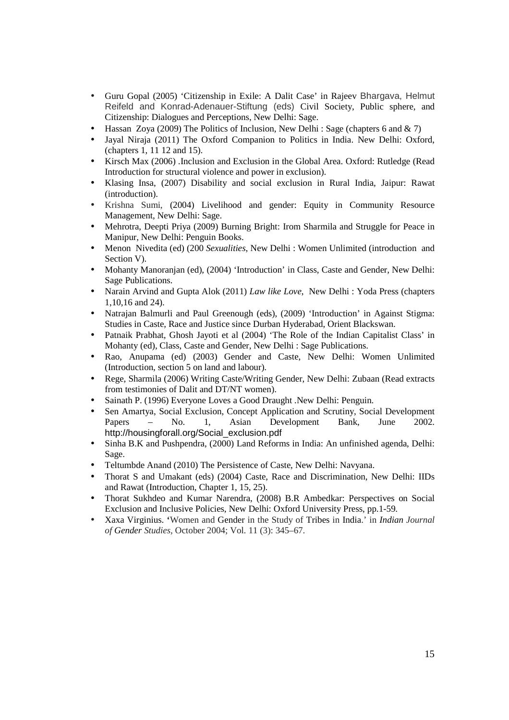- Guru Gopal (2005) 'Citizenship in Exile: A Dalit Case' in Rajeev Bhargava, Helmut Reifeld and Konrad-Adenauer-Stiftung (eds) Civil Society, Public sphere, and Citizenship: Dialogues and Perceptions, New Delhi: Sage.
- Hassan Zoya (2009) The Politics of Inclusion, New Delhi : Sage (chapters 6 and  $\& \, 7$ )
- Jayal Niraja (2011) The Oxford Companion to Politics in India. New Delhi: Oxford, (chapters 1, 11 12 and 15).
- Kirsch Max (2006) .Inclusion and Exclusion in the Global Area. Oxford: Rutledge (Read Introduction for structural violence and power in exclusion).
- Klasing Insa, (2007) Disability and social exclusion in Rural India, Jaipur: Rawat (introduction).
- Krishna Sumi, (2004) Livelihood and gender: Equity in Community Resource Management, New Delhi: Sage.
- Mehrotra, Deepti Priya (2009) Burning Bright: Irom Sharmila and Struggle for Peace in Manipur, New Delhi: Penguin Books.
- Menon Nivedita (ed) (200 *Sexualities*, New Delhi : Women Unlimited (introduction and Section V).
- Mohanty Manoranian (ed), (2004) 'Introduction' in Class, Caste and Gender, New Delhi: Sage Publications.
- Narain Arvind and Gupta Alok (2011) *Law like Love*, New Delhi : Yoda Press (chapters 1,10,16 and 24).
- Natrajan Balmurli and Paul Greenough (eds), (2009) 'Introduction' in Against Stigma: Studies in Caste, Race and Justice since Durban Hyderabad, Orient Blackswan.
- Patnaik Prabhat, Ghosh Jayoti et al (2004) 'The Role of the Indian Capitalist Class' in Mohanty (ed), Class, Caste and Gender, New Delhi : Sage Publications.
- Rao, Anupama (ed) (2003) Gender and Caste, New Delhi: Women Unlimited (Introduction, section 5 on land and labour).
- Rege, Sharmila (2006) Writing Caste/Writing Gender, New Delhi: Zubaan (Read extracts from testimonies of Dalit and DT/NT women).
- Sainath P. (1996) Everyone Loves a Good Draught .New Delhi: Penguin.
- Sen Amartya, Social Exclusion, Concept Application and Scrutiny, Social Development Papers – No. 1, Asian Development Bank, June 2002. http://housingforall.org/Social\_exclusion.pdf
- Sinha B.K and Pushpendra, (2000) Land Reforms in India: An unfinished agenda, Delhi: Sage.
- Teltumbde Anand (2010) The Persistence of Caste, New Delhi: Navyana.
- Thorat S and Umakant (eds) (2004) Caste, Race and Discrimination, New Delhi: IIDs and Rawat (Introduction, Chapter 1, 15, 25).
- Thorat Sukhdeo and Kumar Narendra, (2008) B.R Ambedkar: Perspectives on Social Exclusion and Inclusive Policies, New Delhi: Oxford University Press, pp.1-59.
- Xaxa Virginius. **'**Women and Gender in the Study of Tribes in India.' in *Indian Journal of Gender Studies,* October 2004; Vol. 11 (3): 345–67.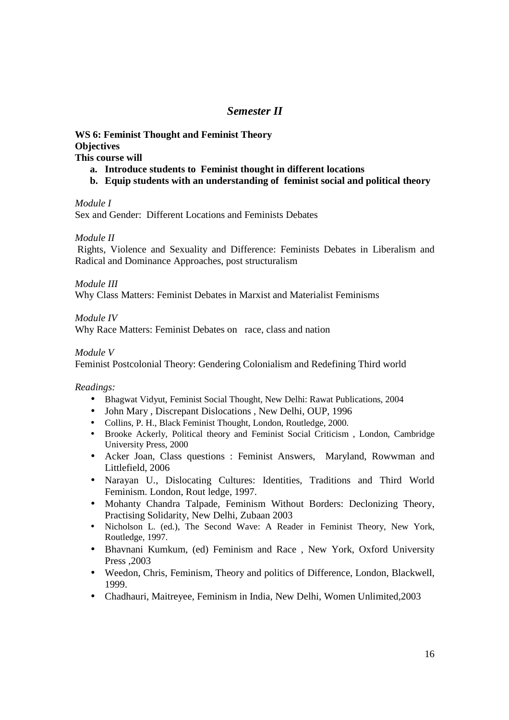# *Semester II*

**WS 6: Feminist Thought and Feminist Theory Objectives This course will** 

- **a. Introduce students to Feminist thought in different locations**
- **b. Equip students with an understanding of feminist social and political theory**

*Module I* 

Sex and Gender: Different Locations and Feminists Debates

*Module II* 

Rights, Violence and Sexuality and Difference: Feminists Debates in Liberalism and Radical and Dominance Approaches, post structuralism

*Module III* 

Why Class Matters: Feminist Debates in Marxist and Materialist Feminisms

*Module IV* 

Why Race Matters: Feminist Debates on race, class and nation

*Module V* 

Feminist Postcolonial Theory: Gendering Colonialism and Redefining Third world

- Bhagwat Vidyut, Feminist Social Thought, New Delhi: Rawat Publications, 2004
- John Mary, Discrepant Dislocations, New Delhi, OUP, 1996
- Collins, P. H., Black Feminist Thought, London, Routledge, 2000.
- Brooke Ackerly, Political theory and Feminist Social Criticism , London, Cambridge University Press, 2000
- Acker Joan, Class questions : Feminist Answers, Maryland, Rowwman and Littlefield, 2006
- Narayan U., Dislocating Cultures: Identities, Traditions and Third World Feminism. London, Rout ledge, 1997.
- Mohanty Chandra Talpade, Feminism Without Borders: Declonizing Theory, Practising Solidarity, New Delhi, Zubaan 2003
- Nicholson L. (ed.), The Second Wave: A Reader in Feminist Theory, New York, Routledge, 1997.
- Bhavnani Kumkum, (ed) Feminism and Race , New York, Oxford University Press ,2003
- Weedon, Chris, Feminism, Theory and politics of Difference, London, Blackwell, 1999.
- Chadhauri, Maitreyee, Feminism in India, New Delhi, Women Unlimited,2003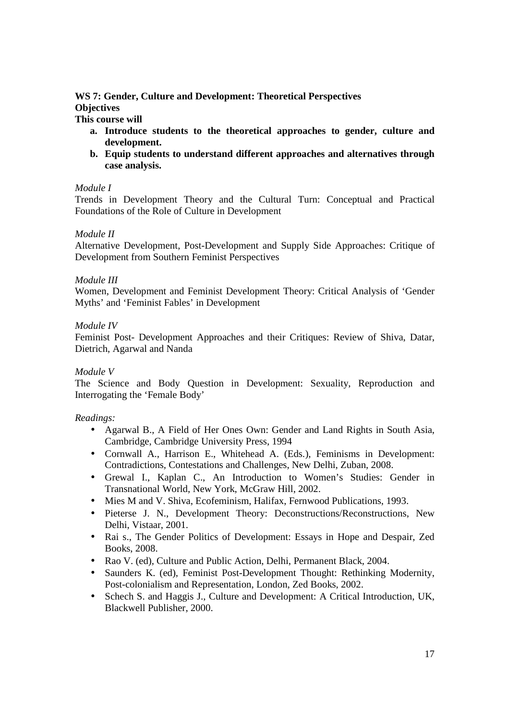# **WS 7: Gender, Culture and Development: Theoretical Perspectives Objectives**

**This course will** 

- **a. Introduce students to the theoretical approaches to gender, culture and development.**
- **b. Equip students to understand different approaches and alternatives through case analysis.**

# *Module I*

Trends in Development Theory and the Cultural Turn: Conceptual and Practical Foundations of the Role of Culture in Development

# *Module II*

Alternative Development, Post-Development and Supply Side Approaches: Critique of Development from Southern Feminist Perspectives

## *Module III*

Women, Development and Feminist Development Theory: Critical Analysis of 'Gender Myths' and 'Feminist Fables' in Development

## *Module IV*

Feminist Post- Development Approaches and their Critiques: Review of Shiva, Datar, Dietrich, Agarwal and Nanda

# *Module V*

The Science and Body Question in Development: Sexuality, Reproduction and Interrogating the 'Female Body'

- Agarwal B., A Field of Her Ones Own: Gender and Land Rights in South Asia, Cambridge, Cambridge University Press, 1994
- Cornwall A., Harrison E., Whitehead A. (Eds.), Feminisms in Development: Contradictions, Contestations and Challenges, New Delhi, Zuban, 2008.
- Grewal I., Kaplan C., An Introduction to Women's Studies: Gender in Transnational World, New York, McGraw Hill, 2002.
- Mies M and V. Shiva, Ecofeminism, Halifax, Fernwood Publications, 1993.
- Pieterse J. N., Development Theory: Deconstructions/Reconstructions, New Delhi, Vistaar, 2001.
- Rai s., The Gender Politics of Development: Essays in Hope and Despair, Zed Books, 2008.
- Rao V. (ed), Culture and Public Action, Delhi, Permanent Black, 2004.
- Saunders K. (ed), Feminist Post-Development Thought: Rethinking Modernity, Post-colonialism and Representation, London, Zed Books, 2002.
- Schech S. and Haggis J., Culture and Development: A Critical Introduction, UK, Blackwell Publisher, 2000.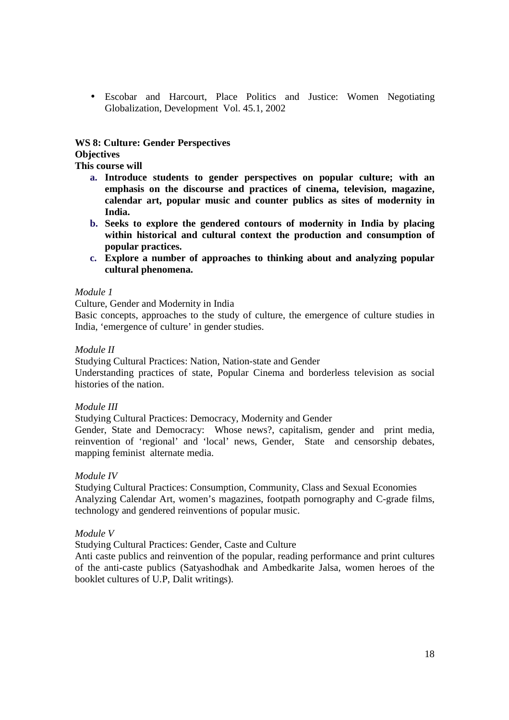• Escobar and Harcourt, Place Politics and Justice: Women Negotiating Globalization, Development Vol. 45.1, 2002

# **WS 8: Culture: Gender Perspectives**

## **Objectives**

**This course will** 

- **a. Introduce students to gender perspectives on popular culture; with an emphasis on the discourse and practices of cinema, television, magazine, calendar art, popular music and counter publics as sites of modernity in India.**
- **b. Seeks to explore the gendered contours of modernity in India by placing within historical and cultural context the production and consumption of popular practices.**
- **c. Explore a number of approaches to thinking about and analyzing popular cultural phenomena.**

## *Module 1*

Culture, Gender and Modernity in India

Basic concepts, approaches to the study of culture, the emergence of culture studies in India, 'emergence of culture' in gender studies.

## *Module II*

Studying Cultural Practices: Nation, Nation-state and Gender

Understanding practices of state, Popular Cinema and borderless television as social histories of the nation.

# *Module III*

Studying Cultural Practices: Democracy, Modernity and Gender

Gender, State and Democracy: Whose news?, capitalism, gender and print media, reinvention of 'regional' and 'local' news, Gender, State and censorship debates, mapping feminist alternate media.

# *Module IV*

Studying Cultural Practices: Consumption, Community, Class and Sexual Economies Analyzing Calendar Art, women's magazines, footpath pornography and C-grade films, technology and gendered reinventions of popular music.

# *Module V*

Studying Cultural Practices: Gender, Caste and Culture

Anti caste publics and reinvention of the popular, reading performance and print cultures of the anti-caste publics (Satyashodhak and Ambedkarite Jalsa, women heroes of the booklet cultures of U.P, Dalit writings).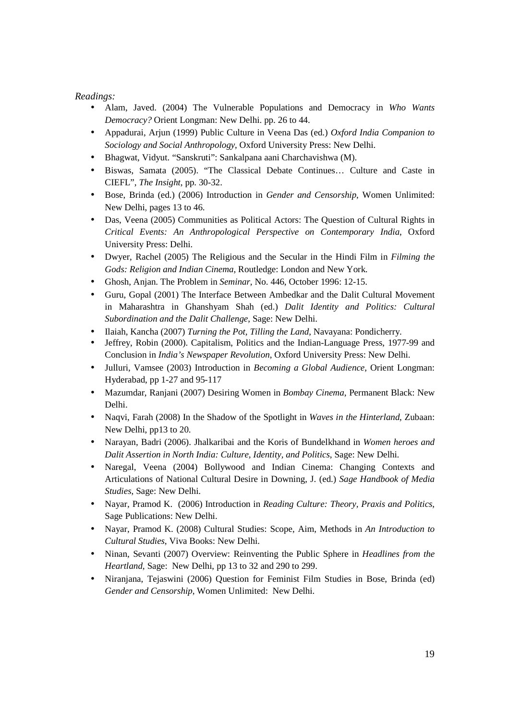- Alam, Javed. (2004) The Vulnerable Populations and Democracy in *Who Wants Democracy?* Orient Longman: New Delhi. pp. 26 to 44.
- Appadurai, Arjun (1999) Public Culture in Veena Das (ed.) *Oxford India Companion to Sociology and Social Anthropology*, Oxford University Press: New Delhi.
- Bhagwat, Vidyut. "Sanskruti": Sankalpana aani Charchavishwa (M).
- Biswas, Samata (2005). "The Classical Debate Continues… Culture and Caste in CIEFL", *The Insight*, pp. 30-32.
- Bose, Brinda (ed.) (2006) Introduction in *Gender and Censorship*, Women Unlimited: New Delhi, pages 13 to 46.
- Das, Veena (2005) Communities as Political Actors: The Question of Cultural Rights in *Critical Events: An Anthropological Perspective on Contemporary India*, Oxford University Press: Delhi.
- Dwyer, Rachel (2005) The Religious and the Secular in the Hindi Film in *Filming the Gods: Religion and Indian Cinema*, Routledge: London and New York.
- Ghosh, Anjan. The Problem in *Seminar*, No. 446, October 1996: 12-15.
- Guru, Gopal (2001) The Interface Between Ambedkar and the Dalit Cultural Movement in Maharashtra in Ghanshyam Shah (ed.) *Dalit Identity and Politics: Cultural Subordination and the Dalit Challenge*, Sage: New Delhi.
- Ilaiah, Kancha (2007) *Turning the Pot, Tilling the Land*, Navayana: Pondicherry.
- Jeffrey, Robin (2000). Capitalism, Politics and the Indian-Language Press, 1977-99 and Conclusion in *India's Newspaper Revolution*, Oxford University Press: New Delhi.
- Julluri, Vamsee (2003) Introduction in *Becoming a Global Audience*, Orient Longman: Hyderabad, pp 1-27 and 95-117
- Mazumdar, Ranjani (2007) Desiring Women in *Bombay Cinema*, Permanent Black: New Delhi.
- Naqvi, Farah (2008) In the Shadow of the Spotlight in *Waves in the Hinterland*, Zubaan: New Delhi, pp13 to 20.
- Narayan, Badri (2006). Jhalkaribai and the Koris of Bundelkhand in *Women heroes and Dalit Assertion in North India: Culture, Identity, and Politics*, Sage: New Delhi.
- Naregal, Veena (2004) Bollywood and Indian Cinema: Changing Contexts and Articulations of National Cultural Desire in Downing, J. (ed.) *Sage Handbook of Media Studies*, Sage: New Delhi.
- Nayar, Pramod K. (2006) Introduction in *Reading Culture: Theory, Praxis and Politics*, Sage Publications: New Delhi.
- Nayar, Pramod K. (2008) Cultural Studies: Scope, Aim, Methods in *An Introduction to Cultural Studies*, Viva Books: New Delhi.
- Ninan, Sevanti (2007) Overview: Reinventing the Public Sphere in *Headlines from the Heartland*, Sage: New Delhi, pp 13 to 32 and 290 to 299.
- Niranjana, Tejaswini (2006) Question for Feminist Film Studies in Bose, Brinda (ed) *Gender and Censorship*, Women Unlimited: New Delhi.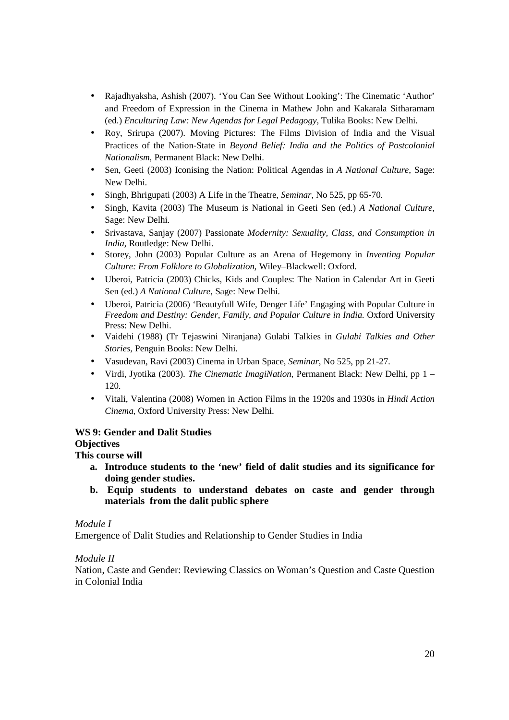- Rajadhyaksha, Ashish (2007). 'You Can See Without Looking': The Cinematic 'Author' and Freedom of Expression in the Cinema in Mathew John and Kakarala Sitharamam (ed.) *Enculturing Law: New Agendas for Legal Pedagogy*, Tulika Books: New Delhi.
- Roy, Srirupa (2007). Moving Pictures: The Films Division of India and the Visual Practices of the Nation-State in *Beyond Belief: India and the Politics of Postcolonial Nationalism*, Permanent Black: New Delhi.
- Sen, Geeti (2003) Iconising the Nation: Political Agendas in *A National Culture*, Sage: New Delhi.
- Singh, Bhrigupati (2003) A Life in the Theatre, *Seminar*, No 525, pp 65-70.
- Singh, Kavita (2003) The Museum is National in Geeti Sen (ed.) *A National Culture*, Sage: New Delhi.
- Srivastava, Sanjay (2007) Passionate *Modernity: Sexuality, Class, and Consumption in India*, Routledge: New Delhi.
- Storey, John (2003) Popular Culture as an Arena of Hegemony in *Inventing Popular Culture: From Folklore to Globalization*, Wiley–Blackwell: Oxford.
- Uberoi, Patricia (2003) Chicks, Kids and Couples: The Nation in Calendar Art in Geeti Sen (ed.) *A National Culture*, Sage: New Delhi.
- Uberoi, Patricia (2006) 'Beautyfull Wife, Denger Life' Engaging with Popular Culture in *Freedom and Destiny: Gender, Family, and Popular Culture in India*. Oxford University Press: New Delhi.
- Vaidehi (1988) (Tr Tejaswini Niranjana) Gulabi Talkies in *Gulabi Talkies and Other Stories*, Penguin Books: New Delhi.
- Vasudevan, Ravi (2003) Cinema in Urban Space, *Seminar*, No 525, pp 21-27.
- Virdi, Jyotika (2003). *The Cinematic ImagiNation*, Permanent Black: New Delhi, pp 1 120.
- Vitali, Valentina (2008) Women in Action Films in the 1920s and 1930s in *Hindi Action Cinema*, Oxford University Press: New Delhi.

# **WS 9: Gender and Dalit Studies**

# **Objectives**

# **This course will**

- **a. Introduce students to the 'new' field of dalit studies and its significance for doing gender studies.**
- **b. Equip students to understand debates on caste and gender through materials from the dalit public sphere**

# *Module I*

Emergence of Dalit Studies and Relationship to Gender Studies in India

# *Module II*

Nation, Caste and Gender: Reviewing Classics on Woman's Question and Caste Question in Colonial India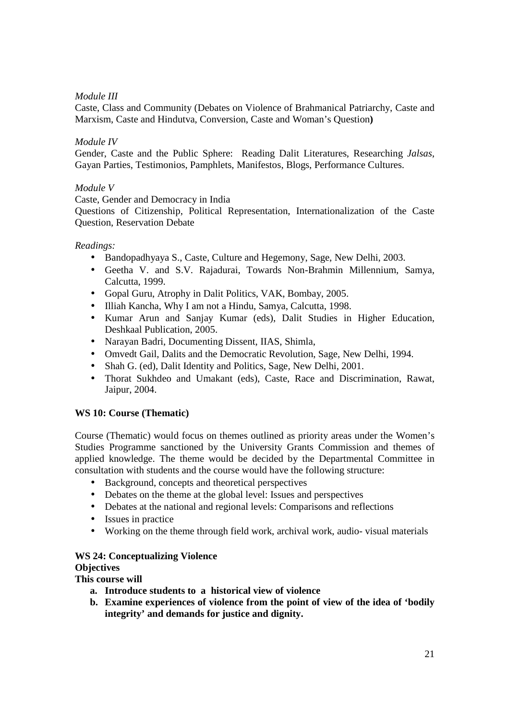# *Module III*

Caste, Class and Community (Debates on Violence of Brahmanical Patriarchy, Caste and Marxism, Caste and Hindutva, Conversion, Caste and Woman's Question**)** 

# *Module IV*

Gender, Caste and the Public Sphere: Reading Dalit Literatures, Researching *Jalsas*, Gayan Parties, Testimonios, Pamphlets, Manifestos, Blogs, Performance Cultures.

## *Module V*

Caste, Gender and Democracy in India

Questions of Citizenship, Political Representation, Internationalization of the Caste Question, Reservation Debate

# *Readings:*

- Bandopadhyaya S., Caste, Culture and Hegemony, Sage, New Delhi, 2003.
- Geetha V. and S.V. Rajadurai, Towards Non-Brahmin Millennium, Samya, Calcutta, 1999.
- Gopal Guru, Atrophy in Dalit Politics, VAK, Bombay, 2005.
- Illiah Kancha, Why I am not a Hindu, Samya, Calcutta, 1998.
- Kumar Arun and Sanjay Kumar (eds), Dalit Studies in Higher Education, Deshkaal Publication, 2005.
- Narayan Badri, Documenting Dissent, IIAS, Shimla,
- Omvedt Gail, Dalits and the Democratic Revolution, Sage, New Delhi, 1994.
- Shah G. (ed), Dalit Identity and Politics, Sage, New Delhi, 2001.
- Thorat Sukhdeo and Umakant (eds), Caste, Race and Discrimination, Rawat, Jaipur, 2004.

# **WS 10: Course (Thematic)**

Course (Thematic) would focus on themes outlined as priority areas under the Women's Studies Programme sanctioned by the University Grants Commission and themes of applied knowledge. The theme would be decided by the Departmental Committee in consultation with students and the course would have the following structure:

- Background, concepts and theoretical perspectives
- Debates on the theme at the global level: Issues and perspectives
- Debates at the national and regional levels: Comparisons and reflections
- Issues in practice
- Working on the theme through field work, archival work, audio- visual materials

# **WS 24: Conceptualizing Violence**

# **Objectives**

**This course will** 

- **a. Introduce students to a historical view of violence**
- **b. Examine experiences of violence from the point of view of the idea of 'bodily integrity' and demands for justice and dignity.**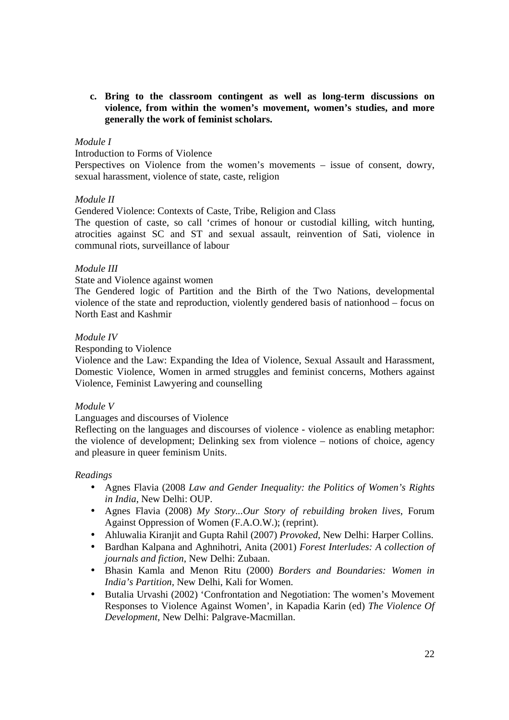**c. Bring to the classroom contingent as well as long-term discussions on violence, from within the women's movement, women's studies, and more generally the work of feminist scholars.** 

#### *Module I*

Introduction to Forms of Violence

Perspectives on Violence from the women's movements – issue of consent, dowry, sexual harassment, violence of state, caste, religion

#### *Module II*

Gendered Violence: Contexts of Caste, Tribe, Religion and Class

The question of caste, so call 'crimes of honour or custodial killing, witch hunting, atrocities against SC and ST and sexual assault, reinvention of Sati, violence in communal riots, surveillance of labour

## *Module III*

#### State and Violence against women

The Gendered logic of Partition and the Birth of the Two Nations, developmental violence of the state and reproduction, violently gendered basis of nationhood – focus on North East and Kashmir

#### *Module IV*

Responding to Violence

Violence and the Law: Expanding the Idea of Violence, Sexual Assault and Harassment, Domestic Violence, Women in armed struggles and feminist concerns, Mothers against Violence, Feminist Lawyering and counselling

#### *Module V*

Languages and discourses of Violence

Reflecting on the languages and discourses of violence - violence as enabling metaphor: the violence of development; Delinking sex from violence – notions of choice, agency and pleasure in queer feminism Units.

- Agnes Flavia (2008 *Law and Gender Inequality: the Politics of Women's Rights in India*, New Delhi: OUP.
- Agnes Flavia (2008) *My Story...Our Story of rebuilding broken lives*, Forum Against Oppression of Women (F.A.O.W.); (reprint).
- Ahluwalia Kiranjit and Gupta Rahil (2007) *Provoked*, New Delhi: Harper Collins.
- Bardhan Kalpana and Aghnihotri, Anita (2001) *Forest Interludes: A collection of journals and fiction*, New Delhi: Zubaan.
- Bhasin Kamla and Menon Ritu (2000) *Borders and Boundaries: Women in India's Partition,* New Delhi, Kali for Women.
- Butalia Urvashi (2002) 'Confrontation and Negotiation: The women's Movement Responses to Violence Against Women', in Kapadia Karin (ed) *The Violence Of Development*, New Delhi: Palgrave-Macmillan.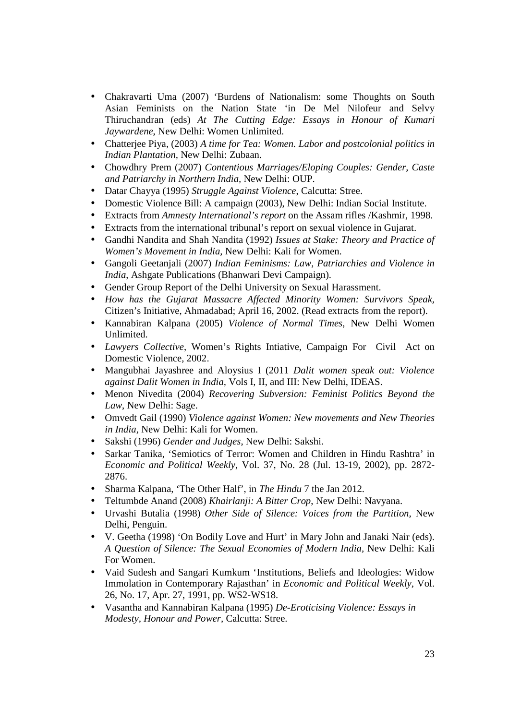- Chakravarti Uma (2007) 'Burdens of Nationalism: some Thoughts on South Asian Feminists on the Nation State 'in De Mel Nilofeur and Selvy Thiruchandran (eds) *At The Cutting Edge: Essays in Honour of Kumari Jaywardene*, New Delhi: Women Unlimited.
- Chatterjee Piya, (2003) *A time for Tea: Women. Labor and postcolonial politics in Indian Plantation,* New Delhi: Zubaan.
- Chowdhry Prem (2007) *Contentious Marriages/Eloping Couples: Gender, Caste and Patriarchy in Northern India,* New Delhi: OUP.
- Datar Chayya (1995) *Struggle Against Violence*, Calcutta: Stree.
- Domestic Violence Bill: A campaign (2003), New Delhi: Indian Social Institute.
- Extracts from *Amnesty International's report* on the Assam rifles /Kashmir, 1998.
- Extracts from the international tribunal's report on sexual violence in Gujarat.
- Gandhi Nandita and Shah Nandita (1992) *Issues at Stake: Theory and Practice of Women's Movement in India,* New Delhi: Kali for Women.
- Gangoli Geetanjali (2007) *Indian Feminisms: Law, Patriarchies and Violence in India*, Ashgate Publications (Bhanwari Devi Campaign).
- Gender Group Report of the Delhi University on Sexual Harassment.
- *How has the Gujarat Massacre Affected Minority Women: Survivors Speak,*  Citizen's Initiative, Ahmadabad; April 16, 2002. (Read extracts from the report).
- Kannabiran Kalpana (2005) *Violence of Normal Times*, New Delhi Women Unlimited.
- *Lawyers Collective*, Women's Rights Intiative, Campaign For Civil Act on Domestic Violence, 2002.
- Mangubhai Jayashree and Aloysius I (2011 *Dalit women speak out: Violence against Dalit Women in India,* Vols I, II, and III: New Delhi, IDEAS.
- Menon Nivedita (2004) *Recovering Subversion: Feminist Politics Beyond the Law*, New Delhi: Sage.
- Omvedt Gail (1990) *Violence against Women: New movements and New Theories in India*, New Delhi: Kali for Women.
- Sakshi (1996) *Gender and Judges*, New Delhi: Sakshi.
- Sarkar Tanika, 'Semiotics of Terror: Women and Children in Hindu Rashtra' in *Economic and Political Weekly*, Vol. 37, No. 28 (Jul. 13-19, 2002), pp. 2872- 2876.
- Sharma Kalpana, 'The Other Half', in *The Hindu* 7 the Jan 2012.
- Teltumbde Anand (2008) *Khairlanji: A Bitter Crop*, New Delhi: Navyana.
- Urvashi Butalia (1998) *Other Side of Silence: Voices from the Partition*, New Delhi, Penguin.
- V. Geetha (1998) 'On Bodily Love and Hurt' in Mary John and Janaki Nair (eds). *A Question of Silence: The Sexual Economies of Modern India,* New Delhi: Kali For Women.
- Vaid Sudesh and Sangari Kumkum 'Institutions, Beliefs and Ideologies: Widow Immolation in Contemporary Rajasthan' in *Economic and Political Weekly*, Vol. 26, No. 17, Apr. 27, 1991, pp. WS2-WS18.
- Vasantha and Kannabiran Kalpana (1995) *De-Eroticising Violence: Essays in Modesty, Honour and Power,* Calcutta: Stree.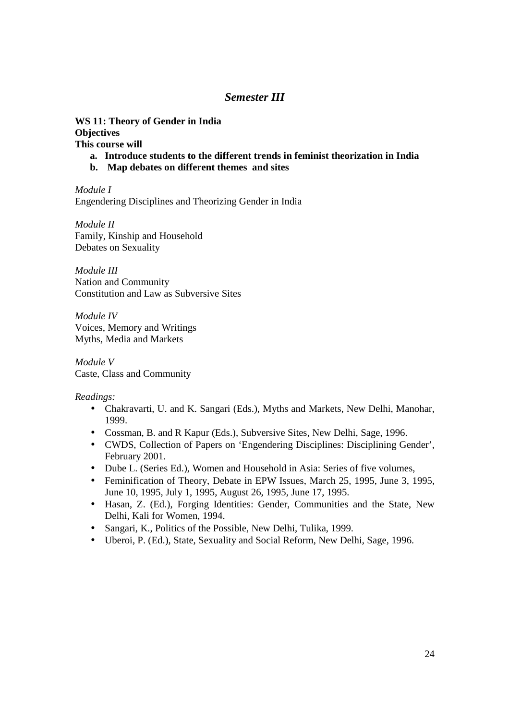# *Semester III*

**WS 11: Theory of Gender in India Objectives This course will** 

- **a. Introduce students to the different trends in feminist theorization in India**
- **b. Map debates on different themes and sites**

*Module I*  Engendering Disciplines and Theorizing Gender in India

*Module II*  Family, Kinship and Household Debates on Sexuality

*Module III*  Nation and Community Constitution and Law as Subversive Sites

*Module IV*  Voices, Memory and Writings Myths, Media and Markets

*Module V*  Caste, Class and Community

- Chakravarti, U. and K. Sangari (Eds.), Myths and Markets, New Delhi, Manohar, 1999.
- Cossman, B. and R Kapur (Eds.), Subversive Sites, New Delhi, Sage, 1996.
- CWDS, Collection of Papers on 'Engendering Disciplines: Disciplining Gender', February 2001.
- Dube L. (Series Ed.), Women and Household in Asia: Series of five volumes,
- Feminification of Theory, Debate in EPW Issues, March 25, 1995, June 3, 1995, June 10, 1995, July 1, 1995, August 26, 1995, June 17, 1995.
- Hasan, Z. (Ed.), Forging Identities: Gender, Communities and the State, New Delhi, Kali for Women, 1994.
- Sangari, K., Politics of the Possible, New Delhi, Tulika, 1999.
- Uberoi, P. (Ed.), State, Sexuality and Social Reform, New Delhi, Sage, 1996.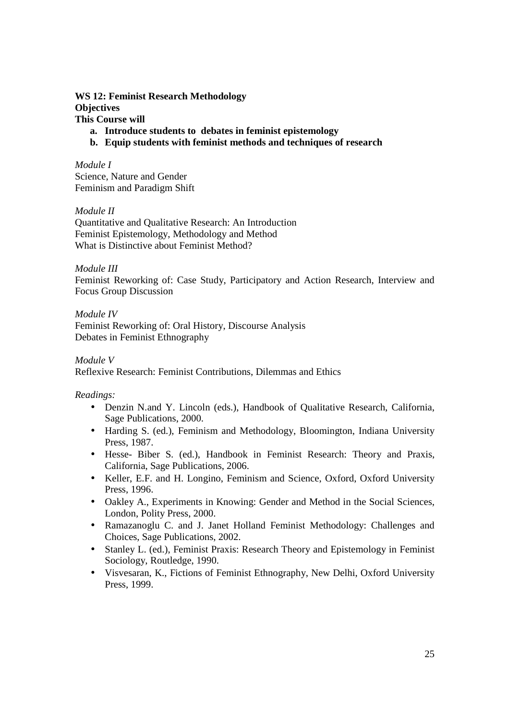# **WS 12: Feminist Research Methodology Objectives This Course will**

- **a. Introduce students to debates in feminist epistemology**
- **b. Equip students with feminist methods and techniques of research**

*Module I*  Science, Nature and Gender Feminism and Paradigm Shift

*Module II* 

Quantitative and Qualitative Research: An Introduction Feminist Epistemology, Methodology and Method What is Distinctive about Feminist Method?

*Module III* 

Feminist Reworking of: Case Study, Participatory and Action Research, Interview and Focus Group Discussion

*Module IV*  Feminist Reworking of: Oral History, Discourse Analysis Debates in Feminist Ethnography

*Module V* 

Reflexive Research: Feminist Contributions, Dilemmas and Ethics

- Denzin N.and Y. Lincoln (eds.), Handbook of Qualitative Research, California, Sage Publications, 2000.
- Harding S. (ed.), Feminism and Methodology, Bloomington, Indiana University Press, 1987.
- Hesse- Biber S. (ed.), Handbook in Feminist Research: Theory and Praxis, California, Sage Publications, 2006.
- Keller, E.F. and H. Longino, Feminism and Science, Oxford, Oxford University Press, 1996.
- Oakley A., Experiments in Knowing: Gender and Method in the Social Sciences, London, Polity Press, 2000.
- Ramazanoglu C. and J. Janet Holland Feminist Methodology: Challenges and Choices, Sage Publications, 2002.
- Stanley L. (ed.), Feminist Praxis: Research Theory and Epistemology in Feminist Sociology, Routledge, 1990.
- Visvesaran, K., Fictions of Feminist Ethnography, New Delhi, Oxford University Press, 1999.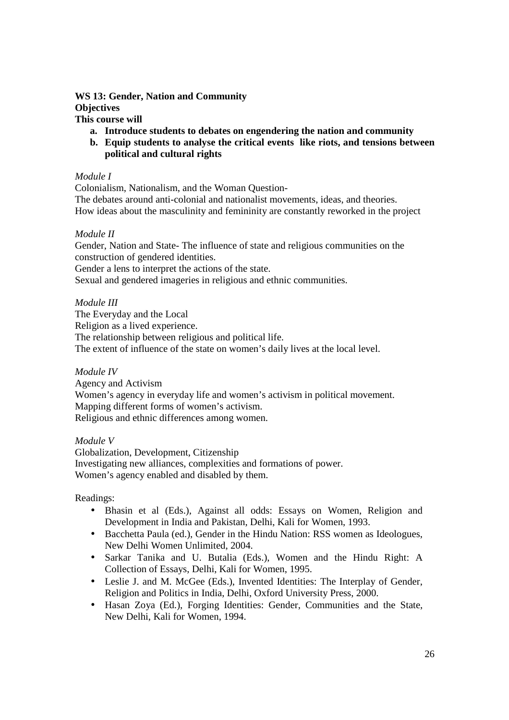#### **WS 13: Gender, Nation and Community Objectives This course will**

- **a. Introduce students to debates on engendering the nation and community**
- **b. Equip students to analyse the critical events like riots, and tensions between political and cultural rights**

## *Module I*

Colonialism, Nationalism, and the Woman Question-The debates around anti-colonial and nationalist movements, ideas, and theories. How ideas about the masculinity and femininity are constantly reworked in the project

## *Module II*

Gender, Nation and State- The influence of state and religious communities on the construction of gendered identities.

Gender a lens to interpret the actions of the state.

Sexual and gendered imageries in religious and ethnic communities.

## *Module III*

The Everyday and the Local Religion as a lived experience. The relationship between religious and political life. The extent of influence of the state on women's daily lives at the local level.

# *Module IV*

Agency and Activism Women's agency in everyday life and women's activism in political movement. Mapping different forms of women's activism. Religious and ethnic differences among women.

*Module V*  Globalization, Development, Citizenship Investigating new alliances, complexities and formations of power. Women's agency enabled and disabled by them.

- Bhasin et al (Eds.), Against all odds: Essays on Women, Religion and Development in India and Pakistan, Delhi, Kali for Women, 1993.
- Bacchetta Paula (ed.), Gender in the Hindu Nation: RSS women as Ideologues, New Delhi Women Unlimited, 2004.
- Sarkar Tanika and U. Butalia (Eds.), Women and the Hindu Right: A Collection of Essays, Delhi, Kali for Women, 1995.
- Leslie J. and M. McGee (Eds.), Invented Identities: The Interplay of Gender, Religion and Politics in India, Delhi, Oxford University Press, 2000.
- Hasan Zoya (Ed.), Forging Identities: Gender, Communities and the State, New Delhi, Kali for Women, 1994.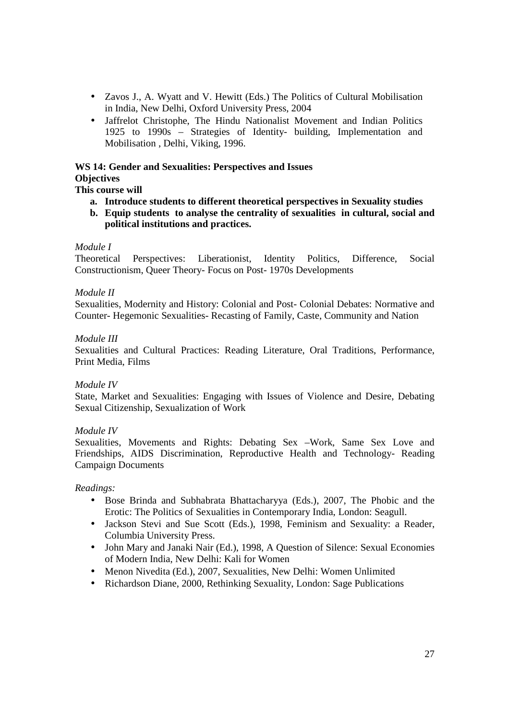- Zavos J., A. Wyatt and V. Hewitt (Eds.) The Politics of Cultural Mobilisation in India, New Delhi, Oxford University Press, 2004
- Jaffrelot Christophe, The Hindu Nationalist Movement and Indian Politics 1925 to 1990s – Strategies of Identity- building, Implementation and Mobilisation , Delhi, Viking, 1996.

## **WS 14: Gender and Sexualities: Perspectives and Issues Objectives**

# **This course will**

- **a. Introduce students to different theoretical perspectives in Sexuality studies**
- **b. Equip students to analyse the centrality of sexualities in cultural, social and political institutions and practices.**

# *Module I*

Theoretical Perspectives: Liberationist, Identity Politics, Difference, Social Constructionism, Queer Theory- Focus on Post- 1970s Developments

## *Module II*

Sexualities, Modernity and History: Colonial and Post- Colonial Debates: Normative and Counter- Hegemonic Sexualities- Recasting of Family, Caste, Community and Nation

## *Module III*

Sexualities and Cultural Practices: Reading Literature, Oral Traditions, Performance, Print Media, Films

# *Module IV*

State, Market and Sexualities: Engaging with Issues of Violence and Desire, Debating Sexual Citizenship, Sexualization of Work

# *Module IV*

Sexualities, Movements and Rights: Debating Sex –Work, Same Sex Love and Friendships, AIDS Discrimination, Reproductive Health and Technology- Reading Campaign Documents

- Bose Brinda and Subhabrata Bhattacharyya (Eds.), 2007, The Phobic and the Erotic: The Politics of Sexualities in Contemporary India, London: Seagull.
- Jackson Stevi and Sue Scott (Eds.), 1998, Feminism and Sexuality: a Reader, Columbia University Press.
- John Mary and Janaki Nair (Ed.), 1998, A Question of Silence: Sexual Economies of Modern India, New Delhi: Kali for Women
- Menon Nivedita (Ed.), 2007, Sexualities, New Delhi: Women Unlimited
- Richardson Diane, 2000, Rethinking Sexuality, London: Sage Publications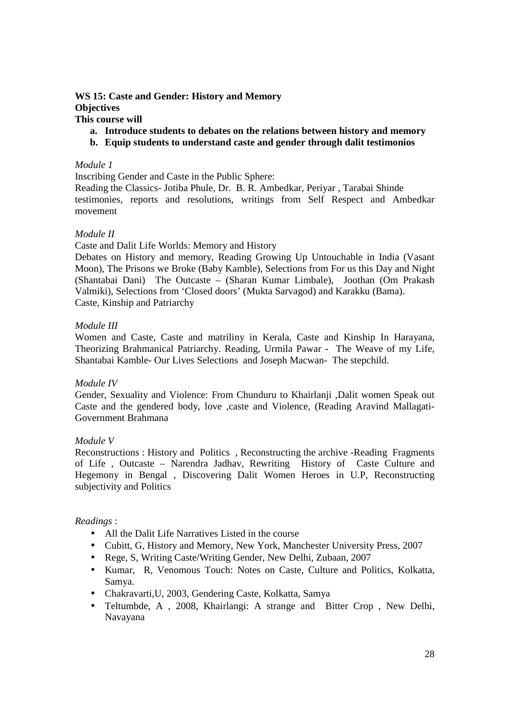## **WS 15: Caste and Gender: History and Memory Objectives This course will**

- **a. Introduce students to debates on the relations between history and memory**
- **b. Equip students to understand caste and gender through dalit testimonios**

## *Module 1*

Inscribing Gender and Caste in the Public Sphere:

Reading the Classics- Jotiba Phule, Dr. B. R. Ambedkar, Periyar , Tarabai Shinde testimonies, reports and resolutions, writings from Self Respect and Ambedkar movement

## *Module II*

Caste and Dalit Life Worlds: Memory and History

Debates on History and memory, Reading Growing Up Untouchable in India (Vasant Moon), The Prisons we Broke (Baby Kamble), Selections from For us this Day and Night (Shantabai Dani) The Outcaste – (Sharan Kumar Limbale), Joothan (Om Prakash Valmiki), Selections from 'Closed doors' (Mukta Sarvagod) and Karakku (Bama). Caste, Kinship and Patriarchy

## *Module III*

Women and Caste, Caste and matriliny in Kerala, Caste and Kinship In Harayana, Theorizing Brahmanical Patriarchy. Reading, Urmila Pawar - The Weave of my Life, Shantabai Kamble- Our Lives Selections and Joseph Macwan- The stepchild.

# *Module IV*

Gender, Sexuality and Violence: From Chunduru to Khairlanji ,Dalit women Speak out Caste and the gendered body, love ,caste and Violence, (Reading Aravind Mallagati-Government Brahmana

#### *Module V*

Reconstructions : History and Politics , Reconstructing the archive -Reading Fragments of Life , Outcaste – Narendra Jadhav, Rewriting History of Caste Culture and Hegemony in Bengal , Discovering Dalit Women Heroes in U.P, Reconstructing subjectivity and Politics

- All the Dalit Life Narratives Listed in the course
- Cubitt, G, History and Memory, New York, Manchester University Press, 2007
- Rege, S, Writing Caste/Writing Gender, New Delhi, Zubaan, 2007
- Kumar, R, Venomous Touch: Notes on Caste, Culture and Politics, Kolkatta, Samya.
- Chakravarti,U, 2003, Gendering Caste, Kolkatta, Samya
- Teltumbde, A , 2008, Khairlangi: A strange and Bitter Crop , New Delhi, Navayana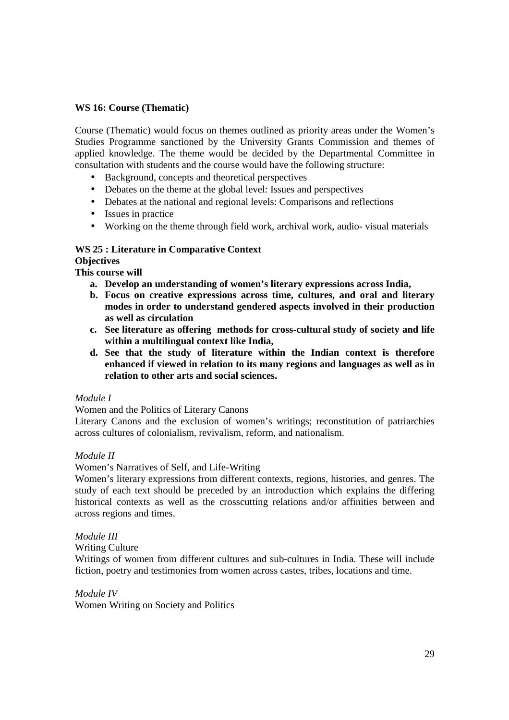# **WS 16: Course (Thematic)**

Course (Thematic) would focus on themes outlined as priority areas under the Women's Studies Programme sanctioned by the University Grants Commission and themes of applied knowledge. The theme would be decided by the Departmental Committee in consultation with students and the course would have the following structure:

- Background, concepts and theoretical perspectives
- Debates on the theme at the global level: Issues and perspectives
- Debates at the national and regional levels: Comparisons and reflections
- Issues in practice
- Working on the theme through field work, archival work, audio- visual materials

# **WS 25 : Literature in Comparative Context**

# **Objectives**

**This course will** 

- **a. Develop an understanding of women's literary expressions across India,**
- **b. Focus on creative expressions across time, cultures, and oral and literary modes in order to understand gendered aspects involved in their production as well as circulation**
- **c. See literature as offering methods for cross-cultural study of society and life within a multilingual context like India,**
- **d. See that the study of literature within the Indian context is therefore enhanced if viewed in relation to its many regions and languages as well as in relation to other arts and social sciences.**

# *Module I*

Women and the Politics of Literary Canons

Literary Canons and the exclusion of women's writings; reconstitution of patriarchies across cultures of colonialism, revivalism, reform, and nationalism.

# *Module II*

Women's Narratives of Self, and Life-Writing

Women's literary expressions from different contexts, regions, histories, and genres. The study of each text should be preceded by an introduction which explains the differing historical contexts as well as the crosscutting relations and/or affinities between and across regions and times.

# *Module III*

Writing Culture

Writings of women from different cultures and sub-cultures in India. These will include fiction, poetry and testimonies from women across castes, tribes, locations and time.

*Module IV*  Women Writing on Society and Politics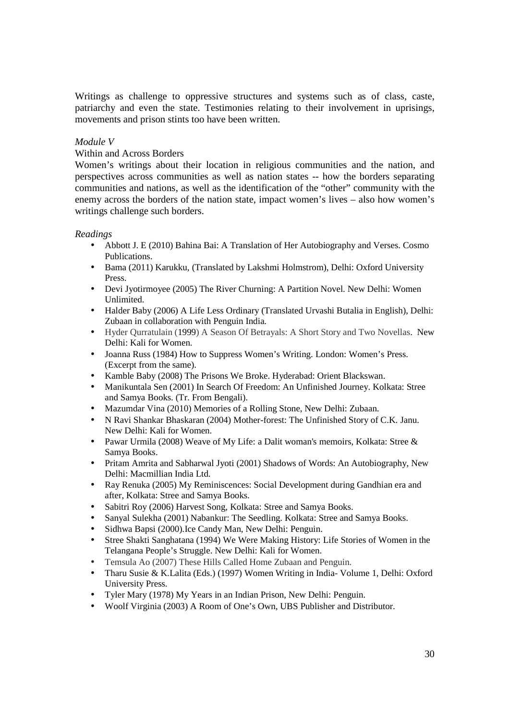Writings as challenge to oppressive structures and systems such as of class, caste, patriarchy and even the state. Testimonies relating to their involvement in uprisings, movements and prison stints too have been written.

## *Module V*

#### Within and Across Borders

Women's writings about their location in religious communities and the nation, and perspectives across communities as well as nation states -- how the borders separating communities and nations, as well as the identification of the "other" community with the enemy across the borders of the nation state, impact women's lives – also how women's writings challenge such borders.

- Abbott J. E (2010) Bahina Bai: A Translation of Her Autobiography and Verses. Cosmo Publications.
- Bama (2011) Karukku, (Translated by Lakshmi Holmstrom), Delhi: Oxford University Press.
- Devi Jyotirmoyee (2005) The River Churning: A Partition Novel. New Delhi: Women Unlimited.
- Halder Baby (2006) A Life Less Ordinary (Translated Urvashi Butalia in English), Delhi: Zubaan in collaboration with Penguin India.
- Hyder Qurratulain (1999) A Season Of Betrayals: A Short Story and Two Novellas. New Delhi: Kali for Women.
- Joanna Russ (1984) How to Suppress Women's Writing. London: Women's Press. (Excerpt from the same).
- Kamble Baby (2008) The Prisons We Broke. Hyderabad: Orient Blackswan.
- Manikuntala Sen (2001) In Search Of Freedom: An Unfinished Journey. Kolkata: Stree and Samya Books. (Tr. From Bengali).
- Mazumdar Vina (2010) Memories of a Rolling Stone, New Delhi: Zubaan.
- N Ravi Shankar Bhaskaran (2004) Mother-forest: The Unfinished Story of C.K. Janu. New Delhi: Kali for Women.
- Pawar Urmila (2008) Weave of My Life: a Dalit woman's memoirs, Kolkata: Stree & Samya Books.
- Pritam Amrita and Sabharwal Jyoti (2001) Shadows of Words: An Autobiography, New Delhi: Macmillian India Ltd.
- Ray Renuka (2005) My Reminiscences: Social Development during Gandhian era and after, Kolkata: Stree and Samya Books.
- Sabitri Roy (2006) Harvest Song, Kolkata: Stree and Samya Books.
- Sanyal Sulekha (2001) Nabankur: The Seedling. Kolkata: Stree and Samya Books.
- Sidhwa Bapsi (2000).Ice Candy Man, New Delhi: Penguin.
- Stree Shakti Sanghatana (1994) We Were Making History: Life Stories of Women in the Telangana People's Struggle. New Delhi: Kali for Women.
- Temsula Ao (2007) These Hills Called Home Zubaan and Penguin.
- Tharu Susie & K.Lalita (Eds.) (1997) Women Writing in India- Volume 1, Delhi: Oxford University Press.
- Tyler Mary (1978) My Years in an Indian Prison, New Delhi: Penguin.
- Woolf Virginia (2003) A Room of One's Own, UBS Publisher and Distributor.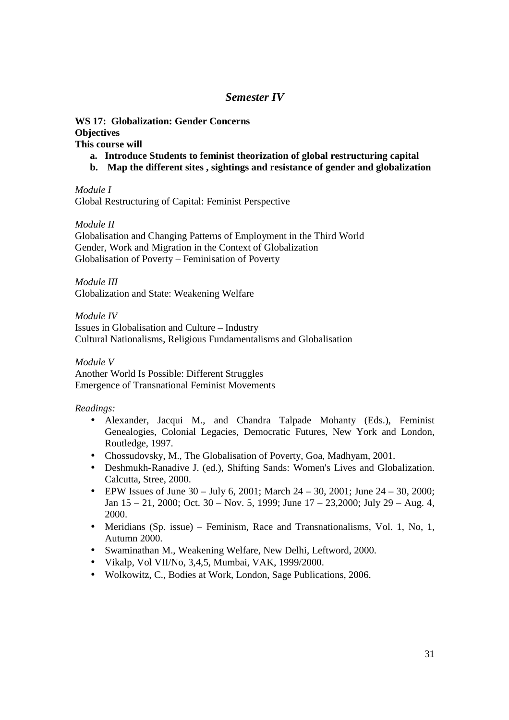# *Semester IV*

# **WS 17: Globalization: Gender Concerns Objectives**

**This course will** 

- **a. Introduce Students to feminist theorization of global restructuring capital**
- **b. Map the different sites , sightings and resistance of gender and globalization**

*Module I* 

Global Restructuring of Capital: Feminist Perspective

*Module II* 

Globalisation and Changing Patterns of Employment in the Third World Gender, Work and Migration in the Context of Globalization Globalisation of Poverty – Feminisation of Poverty

*Module III*  Globalization and State: Weakening Welfare

*Module IV*  Issues in Globalisation and Culture – Industry Cultural Nationalisms, Religious Fundamentalisms and Globalisation

*Module V*  Another World Is Possible: Different Struggles Emergence of Transnational Feminist Movements

- Alexander, Jacqui M., and Chandra Talpade Mohanty (Eds.), Feminist Genealogies, Colonial Legacies, Democratic Futures, New York and London, Routledge, 1997.
- Chossudovsky, M., The Globalisation of Poverty, Goa, Madhyam, 2001.
- Deshmukh-Ranadive J. (ed.), Shifting Sands: Women's Lives and Globalization. Calcutta, Stree, 2000.
- EPW Issues of June  $30 \text{July } 6$ ,  $2001$ ; March  $24 30$ ,  $2001$ ; June  $24 30$ ,  $2000$ ; Jan 15 – 21, 2000; Oct. 30 – Nov. 5, 1999; June 17 – 23,2000; July 29 – Aug. 4, 2000.
- Meridians (Sp. issue) Feminism, Race and Transnationalisms, Vol. 1, No, 1, Autumn 2000.
- Swaminathan M., Weakening Welfare, New Delhi, Leftword, 2000.
- Vikalp, Vol VII/No, 3,4,5, Mumbai, VAK, 1999/2000.
- Wolkowitz, C., Bodies at Work, London, Sage Publications, 2006.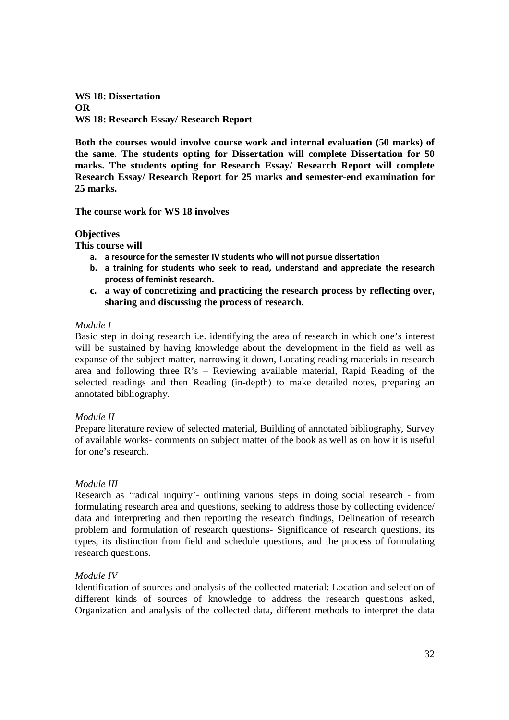**WS 18: Dissertation OR WS 18: Research Essay/ Research Report** 

**Both the courses would involve course work and internal evaluation (50 marks) of the same. The students opting for Dissertation will complete Dissertation for 50 marks. The students opting for Research Essay/ Research Report will complete Research Essay/ Research Report for 25 marks and semester-end examination for 25 marks.** 

**The course work for WS 18 involves** 

## **Objectives**

**This course will** 

- **a. a resource for the semester IV students who will not pursue dissertation**
- **b. a training for students who seek to read, understand and appreciate the research process of feminist research.**
- **c. a way of concretizing and practicing the research process by reflecting over, sharing and discussing the process of research.**

## *Module I*

Basic step in doing research i.e. identifying the area of research in which one's interest will be sustained by having knowledge about the development in the field as well as expanse of the subject matter, narrowing it down, Locating reading materials in research area and following three R's – Reviewing available material, Rapid Reading of the selected readings and then Reading (in-depth) to make detailed notes, preparing an annotated bibliography.

# *Module II*

Prepare literature review of selected material, Building of annotated bibliography, Survey of available works- comments on subject matter of the book as well as on how it is useful for one's research.

# *Module III*

Research as 'radical inquiry'- outlining various steps in doing social research - from formulating research area and questions, seeking to address those by collecting evidence/ data and interpreting and then reporting the research findings, Delineation of research problem and formulation of research questions- Significance of research questions, its types, its distinction from field and schedule questions, and the process of formulating research questions.

# *Module IV*

Identification of sources and analysis of the collected material: Location and selection of different kinds of sources of knowledge to address the research questions asked, Organization and analysis of the collected data, different methods to interpret the data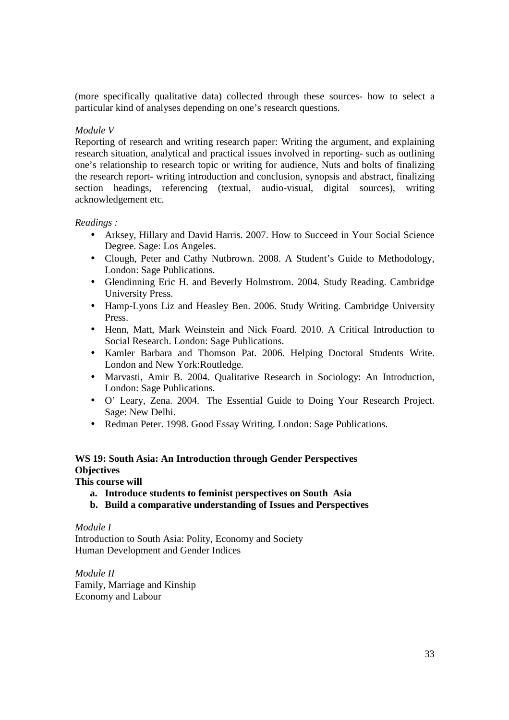(more specifically qualitative data) collected through these sources- how to select a particular kind of analyses depending on one's research questions.

# *Module V*

Reporting of research and writing research paper: Writing the argument, and explaining research situation, analytical and practical issues involved in reporting- such as outlining one's relationship to research topic or writing for audience, Nuts and bolts of finalizing the research report- writing introduction and conclusion, synopsis and abstract, finalizing section headings, referencing (textual, audio-visual, digital sources), writing acknowledgement etc.

# *Readings :*

- Arksey, Hillary and David Harris. 2007. How to Succeed in Your Social Science Degree. Sage: Los Angeles.
- Clough, Peter and Cathy Nutbrown. 2008. A Student's Guide to Methodology, London: Sage Publications.
- Glendinning Eric H. and Beverly Holmstrom. 2004. Study Reading. Cambridge University Press.
- Hamp-Lyons Liz and Heasley Ben. 2006. Study Writing. Cambridge University Press.
- Henn, Matt, Mark Weinstein and Nick Foard. 2010. A Critical Introduction to Social Research. London: Sage Publications.
- Kamler Barbara and Thomson Pat. 2006. Helping Doctoral Students Write. London and New York:Routledge.
- Marvasti, Amir B. 2004. Qualitative Research in Sociology: An Introduction, London: Sage Publications.
- O' Leary, Zena. 2004. The Essential Guide to Doing Your Research Project. Sage: New Delhi.
- Redman Peter. 1998. Good Essay Writing. London: Sage Publications.

# **WS 19: South Asia: An Introduction through Gender Perspectives Objectives**

# **This course will**

- **a. Introduce students to feminist perspectives on South Asia**
- **b. Build a comparative understanding of Issues and Perspectives**

# *Module I*

Introduction to South Asia: Polity, Economy and Society Human Development and Gender Indices

*Module II*  Family, Marriage and Kinship Economy and Labour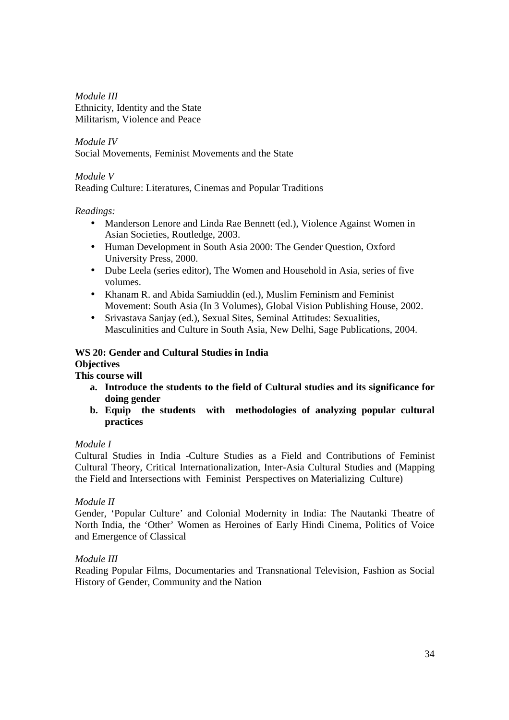*Module III*  Ethnicity, Identity and the State Militarism, Violence and Peace

*Module IV*  Social Movements, Feminist Movements and the State

# *Module V*

Reading Culture: Literatures, Cinemas and Popular Traditions

# *Readings:*

- Manderson Lenore and Linda Rae Bennett (ed.), Violence Against Women in Asian Societies, Routledge, 2003.
- Human Development in South Asia 2000: The Gender Question, Oxford University Press, 2000.
- Dube Leela (series editor), The Women and Household in Asia, series of five volumes.
- Khanam R. and Abida Samiuddin (ed.), Muslim Feminism and Feminist Movement: South Asia (In 3 Volumes), Global Vision Publishing House, 2002.
- Srivastava Sanjay (ed.), Sexual Sites, Seminal Attitudes: Sexualities, Masculinities and Culture in South Asia, New Delhi, Sage Publications, 2004.

# **WS 20: Gender and Cultural Studies in India Objectives**

**This course will** 

- **a. Introduce the students to the field of Cultural studies and its significance for doing gender**
- **b. Equip the students with methodologies of analyzing popular cultural practices**

# *Module I*

Cultural Studies in India -Culture Studies as a Field and Contributions of Feminist Cultural Theory, Critical Internationalization, Inter-Asia Cultural Studies and (Mapping the Field and Intersections with Feminist Perspectives on Materializing Culture)

# *Module II*

Gender, 'Popular Culture' and Colonial Modernity in India: The Nautanki Theatre of North India, the 'Other' Women as Heroines of Early Hindi Cinema, Politics of Voice and Emergence of Classical

# *Module III*

Reading Popular Films, Documentaries and Transnational Television, Fashion as Social History of Gender, Community and the Nation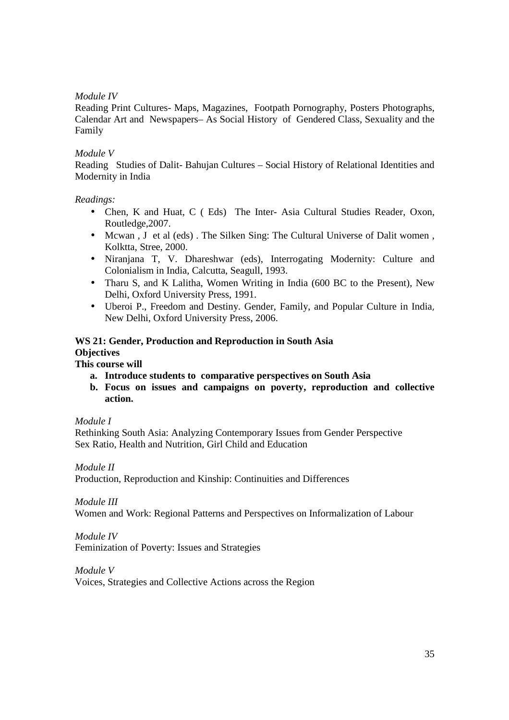# *Module IV*

Reading Print Cultures- Maps, Magazines, Footpath Pornography, Posters Photographs, Calendar Art and Newspapers– As Social History of Gendered Class, Sexuality and the Family

# *Module V*

Reading Studies of Dalit- Bahujan Cultures – Social History of Relational Identities and Modernity in India

# *Readings:*

- Chen, K and Huat, C ( Eds) The Inter- Asia Cultural Studies Reader, Oxon, Routledge,2007.
- Mcwan , J et al (eds) . The Silken Sing: The Cultural Universe of Dalit women , Kolktta, Stree, 2000.
- Niranjana T, V. Dhareshwar (eds), Interrogating Modernity: Culture and Colonialism in India, Calcutta, Seagull, 1993.
- Tharu S, and K Lalitha, Women Writing in India (600 BC to the Present), New Delhi, Oxford University Press, 1991.
- Uberoi P., Freedom and Destiny. Gender, Family, and Popular Culture in India, New Delhi, Oxford University Press, 2006.

# **WS 21: Gender, Production and Reproduction in South Asia Objectives**

# **This course will**

- **a. Introduce students to comparative perspectives on South Asia**
- **b. Focus on issues and campaigns on poverty, reproduction and collective action.**

# *Module I*

Rethinking South Asia: Analyzing Contemporary Issues from Gender Perspective Sex Ratio, Health and Nutrition, Girl Child and Education

*Module II* 

Production, Reproduction and Kinship: Continuities and Differences

# *Module III*

Women and Work: Regional Patterns and Perspectives on Informalization of Labour

# *Module IV*

Feminization of Poverty: Issues and Strategies

# *Module V*

Voices, Strategies and Collective Actions across the Region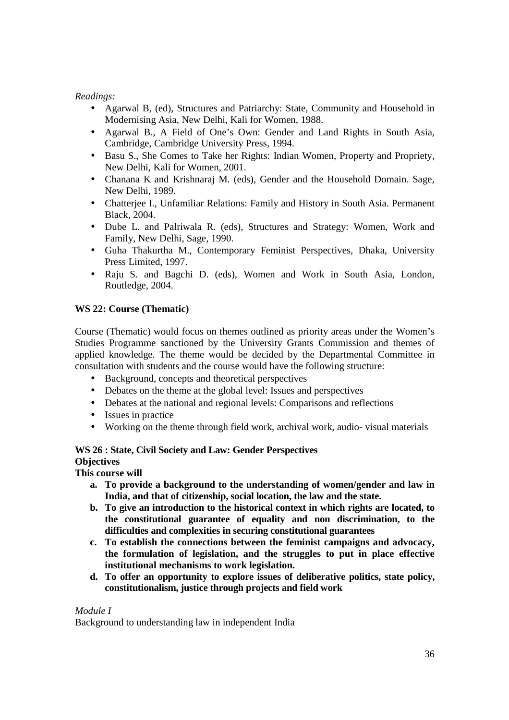# *Readings:*

- Agarwal B, (ed), Structures and Patriarchy: State, Community and Household in Modernising Asia, New Delhi, Kali for Women, 1988.
- Agarwal B., A Field of One's Own: Gender and Land Rights in South Asia, Cambridge, Cambridge University Press, 1994.
- Basu S., She Comes to Take her Rights: Indian Women, Property and Propriety, New Delhi, Kali for Women, 2001.
- Chanana K and Krishnaraj M. (eds), Gender and the Household Domain. Sage, New Delhi, 1989.
- Chatterjee I., Unfamiliar Relations: Family and History in South Asia. Permanent Black, 2004.
- Dube L. and Palriwala R. (eds), Structures and Strategy: Women, Work and Family, New Delhi, Sage, 1990.
- Guha Thakurtha M., Contemporary Feminist Perspectives, Dhaka, University Press Limited, 1997.
- Raju S. and Bagchi D. (eds), Women and Work in South Asia, London, Routledge, 2004.

# **WS 22: Course (Thematic)**

Course (Thematic) would focus on themes outlined as priority areas under the Women's Studies Programme sanctioned by the University Grants Commission and themes of applied knowledge. The theme would be decided by the Departmental Committee in consultation with students and the course would have the following structure:

- Background, concepts and theoretical perspectives
- Debates on the theme at the global level: Issues and perspectives
- Debates at the national and regional levels: Comparisons and reflections
- Issues in practice
- Working on the theme through field work, archival work, audio-visual materials

# **WS 26 : State, Civil Society and Law: Gender Perspectives**

**Objectives** 

**This course will** 

- **a. To provide a background to the understanding of women/gender and law in India, and that of citizenship, social location, the law and the state.**
- **b. To give an introduction to the historical context in which rights are located, to the constitutional guarantee of equality and non discrimination, to the difficulties and complexities in securing constitutional guarantees**
- **c. To establish the connections between the feminist campaigns and advocacy, the formulation of legislation, and the struggles to put in place effective institutional mechanisms to work legislation.**
- **d. To offer an opportunity to explore issues of deliberative politics, state policy, constitutionalism, justice through projects and field work**

# *Module I*

Background to understanding law in independent India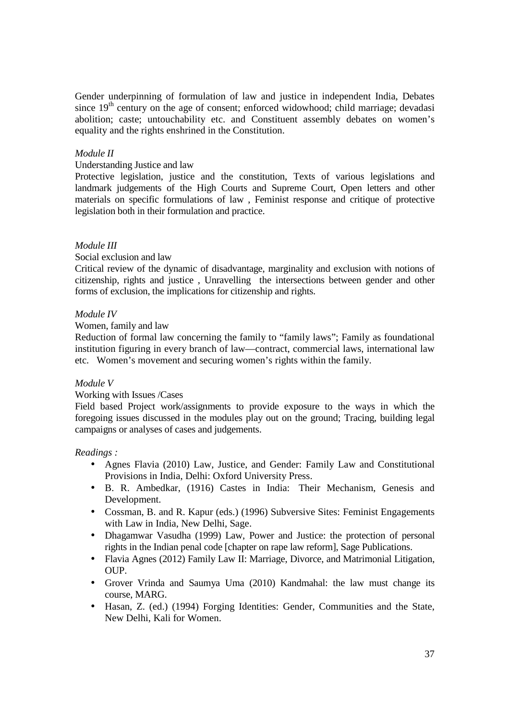Gender underpinning of formulation of law and justice in independent India, Debates since  $19<sup>th</sup>$  century on the age of consent; enforced widowhood; child marriage; devadasi abolition; caste; untouchability etc. and Constituent assembly debates on women's equality and the rights enshrined in the Constitution.

#### *Module II*

#### Understanding Justice and law

Protective legislation, justice and the constitution, Texts of various legislations and landmark judgements of the High Courts and Supreme Court, Open letters and other materials on specific formulations of law , Feminist response and critique of protective legislation both in their formulation and practice.

## *Module III*

## Social exclusion and law

Critical review of the dynamic of disadvantage, marginality and exclusion with notions of citizenship, rights and justice , Unravelling the intersections between gender and other forms of exclusion, the implications for citizenship and rights.

## *Module IV*

#### Women, family and law

Reduction of formal law concerning the family to "family laws"; Family as foundational institution figuring in every branch of law—contract, commercial laws, international law etc. Women's movement and securing women's rights within the family.

#### *Module V*

# Working with Issues /Cases

Field based Project work/assignments to provide exposure to the ways in which the foregoing issues discussed in the modules play out on the ground; Tracing, building legal campaigns or analyses of cases and judgements.

- Agnes Flavia (2010) Law, Justice, and Gender: Family Law and Constitutional Provisions in India, Delhi: Oxford University Press.
- B. R. Ambedkar, (1916) Castes in India: Their Mechanism, Genesis and Development.
- Cossman, B. and R. Kapur (eds.) (1996) Subversive Sites: Feminist Engagements with Law in India, New Delhi, Sage.
- Dhagamwar Vasudha (1999) Law, Power and Justice: the protection of personal rights in the Indian penal code [chapter on rape law reform], Sage Publications.
- Flavia Agnes (2012) Family Law II: Marriage, Divorce, and Matrimonial Litigation, OUP.
- Grover Vrinda and Saumya Uma (2010) Kandmahal: the law must change its course, MARG.
- Hasan, Z. (ed.) (1994) Forging Identities: Gender, Communities and the State, New Delhi, Kali for Women.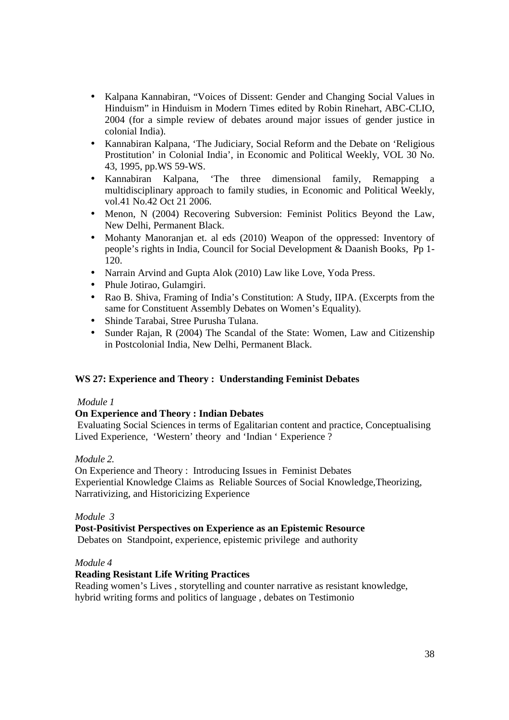- Kalpana Kannabiran, "Voices of Dissent: Gender and Changing Social Values in Hinduism" in Hinduism in Modern Times edited by Robin Rinehart, ABC-CLIO, 2004 (for a simple review of debates around major issues of gender justice in colonial India).
- Kannabiran Kalpana, 'The Judiciary, Social Reform and the Debate on 'Religious Prostitution' in Colonial India', in Economic and Political Weekly, VOL 30 No. 43, 1995, pp.WS 59-WS.
- Kannabiran Kalpana, 'The three dimensional family, Remapping a multidisciplinary approach to family studies, in Economic and Political Weekly, vol.41 No.42 Oct 21 2006.
- Menon, N (2004) Recovering Subversion: Feminist Politics Beyond the Law, New Delhi, Permanent Black.
- Mohanty Manoranjan et. al eds (2010) Weapon of the oppressed: Inventory of people's rights in India, Council for Social Development & Daanish Books, Pp 1- 120.
- Narrain Arvind and Gupta Alok (2010) Law like Love, Yoda Press.
- Phule Jotirao, Gulamgiri.
- Rao B. Shiva, Framing of India's Constitution: A Study, IIPA. (Excerpts from the same for Constituent Assembly Debates on Women's Equality).
- Shinde Tarabai, Stree Purusha Tulana.
- Sunder Rajan, R (2004) The Scandal of the State: Women, Law and Citizenship in Postcolonial India, New Delhi, Permanent Black.

# **WS 27: Experience and Theory : Understanding Feminist Debates**

# *Module 1*

# **On Experience and Theory : Indian Debates**

 Evaluating Social Sciences in terms of Egalitarian content and practice, Conceptualising Lived Experience, 'Western' theory and 'Indian ' Experience ?

#### *Module 2.*

On Experience and Theory : Introducing Issues in Feminist Debates Experiential Knowledge Claims as Reliable Sources of Social Knowledge,Theorizing, Narrativizing, and Historicizing Experience

#### *Module 3*

# **Post-Positivist Perspectives on Experience as an Epistemic Resource**

Debates on Standpoint, experience, epistemic privilege and authority

#### *Module 4*

# **Reading Resistant Life Writing Practices**

Reading women's Lives , storytelling and counter narrative as resistant knowledge, hybrid writing forms and politics of language , debates on Testimonio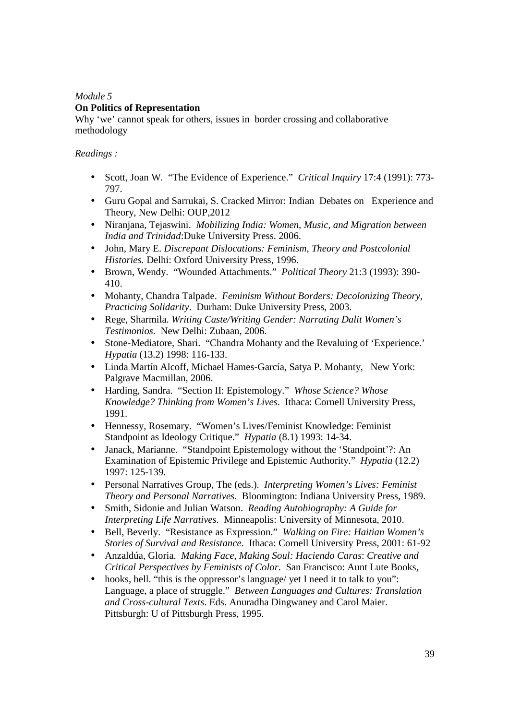# *Module 5*  **On Politics of Representation**

Why 'we' cannot speak for others, issues in border crossing and collaborative methodology

- Scott, Joan W. "The Evidence of Experience." *Critical Inquiry* 17:4 (1991): 773- 797.
- Guru Gopal and Sarrukai, S. Cracked Mirror: Indian Debates on Experience and Theory, New Delhi: OUP,2012
- Niranjana, Tejaswini. *Mobilizing India: Women, Music, and Migration between India and Trinidad*:Duke University Press. 2006.
- John, Mary E. *Discrepant Dislocations: Feminism, Theory and Postcolonial Histories.* Delhi: Oxford University Press, 1996.
- Brown, Wendy. "Wounded Attachments." *Political Theory* 21:3 (1993): 390- 410.
- Mohanty, Chandra Talpade. *Feminism Without Borders: Decolonizing Theory, Practicing Solidarity*. Durham: Duke University Press, 2003.
- Rege, Sharmila. *Writing Caste/Writing Gender: Narrating Dalit Women's Testimonios*. New Delhi: Zubaan, 2006.
- Stone-Mediatore, Shari. "Chandra Mohanty and the Revaluing of 'Experience.' *Hypatia* (13.2) 1998: 116-133.
- Linda Martín Alcoff, Michael Hames-García, Satya P. Mohanty, New York: Palgrave Macmillan, 2006.
- Harding, Sandra. "Section II: Epistemology." *Whose Science? Whose Knowledge? Thinking from Women's Lives*. Ithaca: Cornell University Press, 1991.
- Hennessy, Rosemary. "Women's Lives/Feminist Knowledge: Feminist Standpoint as Ideology Critique." *Hypatia* (8.1) 1993: 14-34.
- Janack, Marianne. "Standpoint Epistemology without the 'Standpoint'?: An Examination of Epistemic Privilege and Epistemic Authority." *Hypatia* (12.2) 1997: 125-139.
- Personal Narratives Group, The (eds.). *Interpreting Women's Lives: Feminist Theory and Personal Narratives*. Bloomington: Indiana University Press, 1989.
- Smith, Sidonie and Julian Watson. *Reading Autobiography: A Guide for Interpreting Life Narratives*. Minneapolis: University of Minnesota, 2010.
- Bell, Beverly. "Resistance as Expression." *Walking on Fire: Haitian Women's Stories of Survival and Resistance*. Ithaca: Cornell University Press, 2001: 61-92
- Anzaldúa, Gloria. *Making Face, Making Soul: Haciendo Caras*: *Creative and Critical Perspectives by Feminists of Color*. San Francisco: Aunt Lute Books,
- hooks, bell. "this is the oppressor's language/ yet I need it to talk to you": Language, a place of struggle." *Between Languages and Cultures: Translation and Cross-cultural Texts*. Eds. Anuradha Dingwaney and Carol Maier. Pittsburgh: U of Pittsburgh Press, 1995.